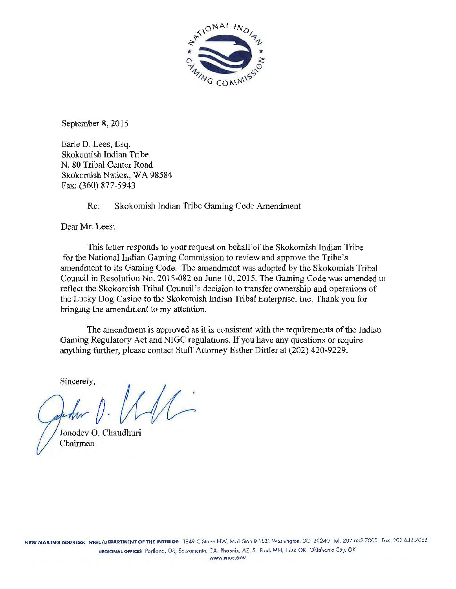

September 8, 2015

Earle D. Lees, Esq. Skokomish Indian Tribe N. 80 Tribal Center Road Skokomish Nation, WA 98584 Fax: (360) 877-5943

Re: Skokomish Indian Tribe Gaming Code Amendment

Dear Mr. Lees:

This letter responds to your request on behalf of the Skokomish Indian Tribe for the National Indian Gaming Commission to review and approve the Tribe's amendment to its Gaming Code. The amendment was adopted by the Skokomish Tribal Council in Resolution No. 2015-082 on June 10, 2015. The Gaming Code was amended to reflect the Skokomish Tribal Council's decision to transfer ownership and operations of the Lucky Dog Casino to the Skokomish Indian Tribal Enterprise, Inc. Thank you for bringing the amendment to my attention.

The amendment is approved as it is consistent with the requirements of the Indian Gaming Regulatory Act and NIGC regulations. If you have any questions or require anything further, please contact Staff Attorney Esther Dittler at (202) 420-9229.

Sincerely,

Jonodev 0. Chaudhuri Chairman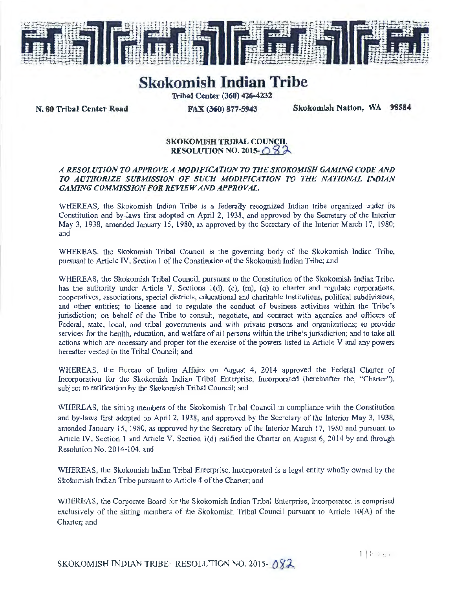

# **Skokomish Indian Tribe**

Tribal Center (360) 426-4232

N. 80 Tribal Center Road FAX (360) 877-5943 Skokomish Nation, WA 98584

## SKOKOMISH TRIBAL COUNCIL RESOLUTION NO. 2015- $\bigcirc$  \$  $\lambda$

#### *A RESOLUTION TO APPROVE A MODIFICATION TO THE SKOKOMISH GAMING CODE AND TO AUTHORIZE SUBMISSION OF SUCH MODIFICATION TO THE NATIONAL IND/AN GAMING COMMISSION FOR REVIEW AND APPROVAL.*

WHEREAS, the Skokomish Indian Tribe is a federally recognized Indian tribe organized under its Constitution and by-laws first adopted on April 2, 1938, and approved by the Secretary of the Interior May 3, 1938, amended January 15, 1980, as approved by the Secretary of the Interior March 17, 1980; and

WHEREAS, the Skokomish Tribal Council is the governing body of the Skokomish Indian Tribe, pursuant to Article IV, Section I of the Constitution of the Skokomish Indian Tribe; and

WHEREAS, the Skokomish Tribal Council, pursuant to the Constitution of the Skokomish Indian Tribe, has the authority under Article V, Sections 1(d), (e), (m), (q) to charter and regulate corporations, cooperatives, associations, special districts, educational and charitable institutions, political subdivisions, and other entities; to license and to regulate the conduct of business activities within the Tribe's jurisdiction; on behalf of the Tnbe to consuh, negotiate, and contract with agencies and officers of Federal, state, local, and tribal governments and with private persons and organizations; to provide services for the health, education, and welfare of all persons within the tribe's jurisdiction; and to take all actions which are necessary and proper for the exercise of the powers listed in Article V and any powers hereafter vested in the Tribal Council; and

WHEREAS, the Bureau of Indian Affairs on August 4, 2014 approved the Federal Charter of Incorporation for the Skokomish Indian Tribal Enterprise, Incorporated (hereinafter the, "Charter"). subject to ratification by the Skokomish Tribal Council; and

WHEREAS, the sitting members of the Skokomish Tribal Council in compliance with the Constitution and by-laws first adopted on April 2, 1938, and approved by the Secretary of the Interior May 3, 1938, amended January 15, 1980, as approved by the Secretary of the Interior March 17, 1980 and pursuant to Article IV, Section 1 and Article V, Section l (d) ratified the Charter on August 6, 2014 by and through Resolution No. 2014-104; and

WHEREAS, the Skokomish lndian Tribal Enterprise, Incorporated is a legal entity wholly owned by the Skokomish fndian Tribe pursuant to Article 4 of the Charter; and

WHEREAS, the Corporate Board for the Skokomish Indian Tribal Enterprise, Incorporated is comprised exclusively of the sitting members of the Skokomish Tribal Council pursuant to Article 10(A) of the Charter; and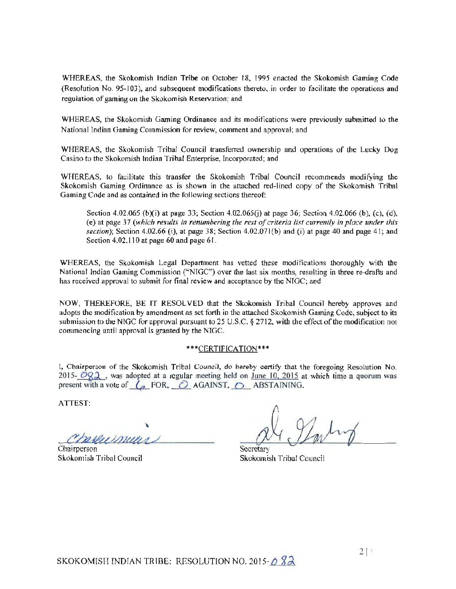WHEREAS, the Skokomish Indian Tribe on October ts. l995 enacted the Skokomish Gaming Code (Resolution No. 95-103), and subsequent modifications thereto, in order to facilitate the operations and regulation of gaming on the Skokomish Reservation; and

WHEREAS, the Skokomish Gaming Ordinance and its modifications were previously submitted to the National Indian Gaming Commission for review, comment and approval; and

WHEREAS, the Skokomish Tribal Council transferred ownership and operations of the Lucky Dog Casino to the Skokomish Indian Tribal Enterprise, Incorporated; and

WHEREAS, to facilitate this transfer the Skokomish Tribal Council recommends modifying the Skokomish Gaming Ordinance as is shown in the attached red-lined copy of the Skokomish Tribal Gaming Code and *as* contained in the following sections thereof:

Section 4.02.065 (b)(i) at page 33; Section 4.02.065(j) at page 36; Section 4.02.066 (b), (c), (d), (e) at page 37 *(which results in renumbering the rest of criteria list currently in place under this*  section); Section 4.02.66 (i), at page 38; Section 4.02.071(b) and (i) at page 40 and page 41; and Section 4.02.110 at page 60 and page 61.

WHEREAS, the Skokomish Legal Department has vetted these modifications thoroughly with the National Indian Gaming Commission ("NIGC") over the last six months, resulting in three re-drafts and has received approval to submit for final review and acceptance by the NIGC; and

NOW, THEREFORE, BE IT RESOLVED that the Skokomish Tribal Council hereby approves and adopts the modification by amendment as set forth in the attached Skokomish Gaming Code, subject to its submission to the NIGC for approval pursuant to 25 U.S.C. § 2712, with the effect of the modification not commencing until approval is granted by the NIGC.

## \*\*\*CERTIFICATION\*\*\*

I, Chairperson of the Skokomish Tribal Council, do hereby certify that the foregoing Resolution No. 2015-  $\frac{\partial Q}{\partial \lambda}$ , was adopted at a regular meeting held on <u>June 10, 2015</u> at which time a quorum was present with a vote of  $\Delta$  FOR,  $\Delta$  AGAINST,  $\Delta$  ABSTAINING.

ATTEST:

Chairperson Secretary

Skokomish Tribal Council Skokomish Tribal Council Skokomish Tribal Council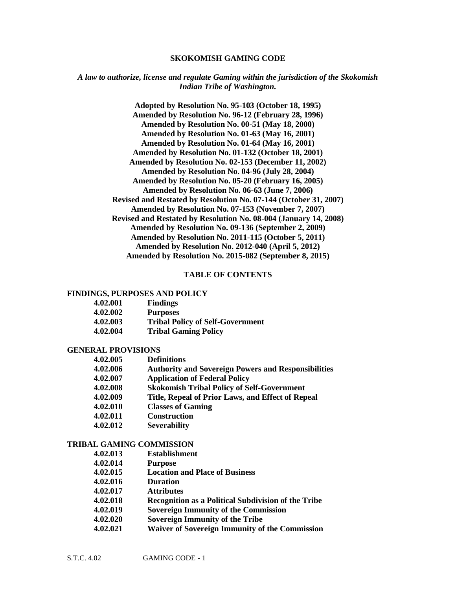#### **SKOKOMISH GAMING CODE**

#### *A law to authorize, license and regulate Gaming within the jurisdiction of the Skokomish Indian Tribe of Washington.*

**Adopted by Resolution No. 95-103 (October 18, 1995) Amended by Resolution No. 96-12 (February 28, 1996) Amended by Resolution No. 00-51 (May 18, 2000) Amended by Resolution No. 01-63 (May 16, 2001) Amended by Resolution No. 01-64 (May 16, 2001) Amended by Resolution No. 01-132 (October 18, 2001) Amended by Resolution No. 02-153 (December 11, 2002) Amended by Resolution No. 04-96 (July 28, 2004) Amended by Resolution No. 05-20 (February 16, 2005) Amended by Resolution No. 06-63 (June 7, 2006) Revised and Restated by Resolution No. 07-144 (October 31, 2007) Amended by Resolution No. 07-153 (November 7, 2007) Revised and Restated by Resolution No. 08-004 (January 14, 2008) Amended by Resolution No. 09-136 (September 2, 2009) Amended by Resolution No. 2011-115 (October 5, 2011) Amended by Resolution No. 2012-040 (April 5, 2012) Amended by Resolution No. 2015-082 (September 8, 2015)**

#### **TABLE OF CONTENTS**

#### **FINDINGS, PURPOSES AND POLICY**

| 4.02.001 | <b>Findings</b>                         |
|----------|-----------------------------------------|
| 4.02.002 | <b>Purposes</b>                         |
| 4.02.003 | <b>Tribal Policy of Self-Government</b> |
| 4.02.004 | <b>Tribal Gaming Policy</b>             |

#### **GENERAL PROVISIONS**

| 4.02.005 | <b>Definitions</b>                                         |
|----------|------------------------------------------------------------|
| 4.02.006 | <b>Authority and Sovereign Powers and Responsibilities</b> |
| 4.02.007 | <b>Application of Federal Policy</b>                       |
| 4.02.008 | <b>Skokomish Tribal Policy of Self-Government</b>          |
| 4.02.009 | Title, Repeal of Prior Laws, and Effect of Repeal          |
| 4.02.010 | <b>Classes of Gaming</b>                                   |
| 4.02.011 | <b>Construction</b>                                        |
| 4.02.012 | <b>Severability</b>                                        |

#### **TRIBAL GAMING COMMISSION**

| 4.02.013 | <b>Establishment</b>                                       |
|----------|------------------------------------------------------------|
| 4.02.014 | <b>Purpose</b>                                             |
| 4.02.015 | <b>Location and Place of Business</b>                      |
| 4.02.016 | <b>Duration</b>                                            |
| 4.02.017 | <b>Attributes</b>                                          |
| 4.02.018 | <b>Recognition as a Political Subdivision of the Tribe</b> |
| 4.02.019 | <b>Sovereign Immunity of the Commission</b>                |
| 4.02.020 | <b>Sovereign Immunity of the Tribe</b>                     |
| 4.02.021 | <b>Waiver of Sovereign Immunity of the Commission</b>      |
|          |                                                            |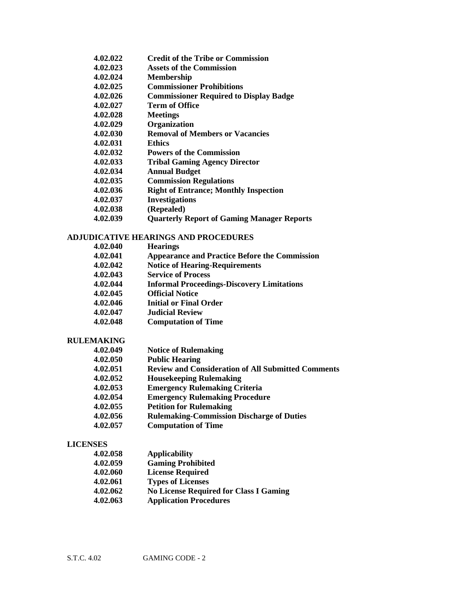- **4.02.022 Credit of the Tribe or Commission**
- **4.02.023 Assets of the Commission**
- **4.02.024 Membership**
- **4.02.025 Commissioner Prohibitions**
- **4.02.026 Commissioner Required to Display Badge**
- **4.02.027 Term of Office**
- **4.02.028 Meetings**
- **4.02.029 Organization**
- **4.02.030 Removal of Members or Vacancies**
- **4.02.031 Ethics**
- **4.02.032 Powers of the Commission**
- **4.02.033 Tribal Gaming Agency Director**
- **4.02.034 Annual Budget**
- **4.02.035 Commission Regulations**
- **4.02.036 Right of Entrance; Monthly Inspection**
- **4.02.037 Investigations**
- **4.02.038 (Repealed)**
- **4.02.039 Quarterly Report of Gaming Manager Reports**

## **ADJUDICATIVE HEARINGS AND PROCEDURES**

**4.02.040 Hearings 4.02.041 Appearance and Practice Before the Commission 4.02.042 Notice of Hearing-Requirements 4.02.043 Service of Process 4.02.044 Informal Proceedings-Discovery Limitations 4.02.045 Official Notice 4.02.046 Initial or Final Order 4.02.047 Judicial Review 4.02.048 Computation of Time**

#### **RULEMAKING**

| 4.02.049 | <b>Notice of Rulemaking</b>                               |
|----------|-----------------------------------------------------------|
| 4.02.050 | <b>Public Hearing</b>                                     |
| 4.02.051 | <b>Review and Consideration of All Submitted Comments</b> |
| 4.02.052 | <b>Housekeeping Rulemaking</b>                            |
| 4.02.053 | <b>Emergency Rulemaking Criteria</b>                      |
| 4.02.054 | <b>Emergency Rulemaking Procedure</b>                     |
| 4.02.055 | <b>Petition for Rulemaking</b>                            |
| 4.02.056 | <b>Rulemaking-Commission Discharge of Duties</b>          |
| 4.02.057 | <b>Computation of Time</b>                                |

#### **LICENSES**

| 4.02.058 | <b>Applicability</b>                          |
|----------|-----------------------------------------------|
| 4.02.059 | <b>Gaming Prohibited</b>                      |
| 4.02.060 | <b>License Required</b>                       |
| 4.02.061 | <b>Types of Licenses</b>                      |
| 4.02.062 | <b>No License Required for Class I Gaming</b> |
| 4.02.063 | <b>Application Procedures</b>                 |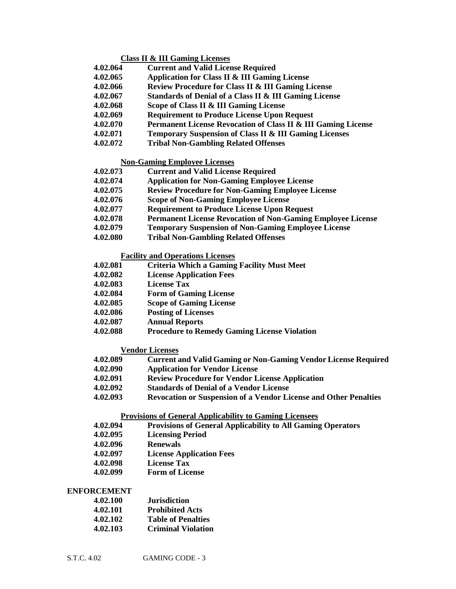#### **Class II & III Gaming Licenses**

- **4.02.064 Current and Valid License Required**
- **4.02.065 Application for Class II & III Gaming License**
- **4.02.066 Review Procedure for Class II & III Gaming License**
- **4.02.067 Standards of Denial of a Class II & III Gaming License**
- **4.02.068 Scope of Class II & III Gaming License**
- **4.02.069 Requirement to Produce License Upon Request**
- **4.02.070 Permanent License Revocation of Class II & III Gaming License**
- **4.02.071 Temporary Suspension of Class II & III Gaming Licenses**
- **4.02.072 Tribal Non-Gambling Related Offenses**

#### **Non-Gaming Employee Licenses**

- **4.02.073 Current and Valid License Required**
- **4.02.074 Application for Non-Gaming Employee License**
- **4.02.075 Review Procedure for Non-Gaming Employee License**
- **4.02.076 Scope of Non-Gaming Employee License**
- **4.02.077 Requirement to Produce License Upon Request**
- **4.02.078 Permanent License Revocation of Non-Gaming Employee License**
- **4.02.079 Temporary Suspension of Non-Gaming Employee License**
- **4.02.080 Tribal Non-Gambling Related Offenses**

#### **Facility and Operations Licenses**

- **4.02.081 Criteria Which a Gaming Facility Must Meet**
- **4.02.082 License Application Fees**
- **4.02.083 License Tax**
- **4.02.084 Form of Gaming License**
- **4.02.085 Scope of Gaming License**
- **4.02.086 Posting of Licenses**
- **4.02.087 Annual Reports**
- **4.02.088 Procedure to Remedy Gaming License Violation**

#### **Vendor Licenses**

- **4.02.089 Current and Valid Gaming or Non-Gaming Vendor License Required**
- **4.02.090 Application for Vendor License**
- **4.02.091 Review Procedure for Vendor License Application**
- **4.02.092 Standards of Denial of a Vendor License**
- **4.02.093 Revocation or Suspension of a Vendor License and Other Penalties**

#### **Provisions of General Applicability to Gaming Licensees**

- **4.02.094 Provisions of General Applicability to All Gaming Operators**
- **4.02.095 Licensing Period**
- **4.02.096 Renewals**
- **4.02.097 License Application Fees**
- **4.02.098 License Tax**
- **4.02.099 Form of License**

#### **ENFORCEMENT**

| 4.02.100 | <b>Jurisdiction</b>       |
|----------|---------------------------|
| 4.02.101 | <b>Prohibited Acts</b>    |
| 4.02.102 | <b>Table of Penalties</b> |
| 4.02.103 | <b>Criminal Violation</b> |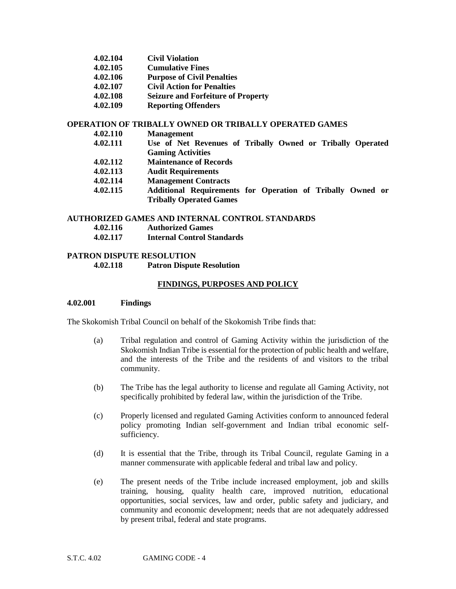| 4.02.104 | <b>Civil Violation</b> |
|----------|------------------------|
|----------|------------------------|

- **4.02.105 Cumulative Fines**
- **4.02.106 Purpose of Civil Penalties**
- **4.02.107 Civil Action for Penalties**
- **4.02.108 Seizure and Forfeiture of Property**
- **4.02.109 Reporting Offenders**

#### **OPERATION OF TRIBALLY OWNED OR TRIBALLY OPERATED GAMES**

- **4.02.110 Management**
- **4.02.111 Use of Net Revenues of Tribally Owned or Tribally Operated Gaming Activities**
- **4.02.112 Maintenance of Records**
- **4.02.113 Audit Requirements**
- **4.02.114 Management Contracts**
- **4.02.115 Additional Requirements for Operation of Tribally Owned or Tribally Operated Games**

#### **AUTHORIZED GAMES AND INTERNAL CONTROL STANDARDS**

- **4.02.116 Authorized Games**
- **4.02.117 Internal Control Standards**

## **PATRON DISPUTE RESOLUTION 4.02.118 Patron Dispute Resolution**

## **FINDINGS, PURPOSES AND POLICY**

#### **4.02.001 Findings**

The Skokomish Tribal Council on behalf of the Skokomish Tribe finds that:

- (a) Tribal regulation and control of Gaming Activity within the jurisdiction of the Skokomish Indian Tribe is essential for the protection of public health and welfare, and the interests of the Tribe and the residents of and visitors to the tribal community.
- (b) The Tribe has the legal authority to license and regulate all Gaming Activity, not specifically prohibited by federal law, within the jurisdiction of the Tribe.
- (c) Properly licensed and regulated Gaming Activities conform to announced federal policy promoting Indian self-government and Indian tribal economic selfsufficiency.
- (d) It is essential that the Tribe, through its Tribal Council, regulate Gaming in a manner commensurate with applicable federal and tribal law and policy.
- (e) The present needs of the Tribe include increased employment, job and skills training, housing, quality health care, improved nutrition, educational opportunities, social services, law and order, public safety and judiciary, and community and economic development; needs that are not adequately addressed by present tribal, federal and state programs.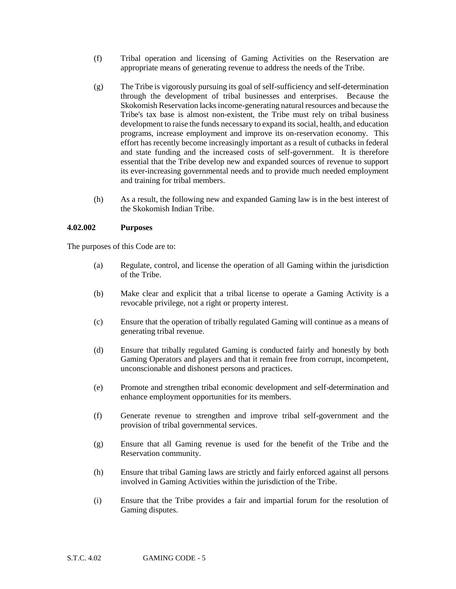- (f) Tribal operation and licensing of Gaming Activities on the Reservation are appropriate means of generating revenue to address the needs of the Tribe.
- (g) The Tribe is vigorously pursuing its goal of self-sufficiency and self-determination through the development of tribal businesses and enterprises. Because the Skokomish Reservation lacks income-generating natural resources and because the Tribe's tax base is almost non-existent, the Tribe must rely on tribal business development to raise the funds necessary to expand its social, health, and education programs, increase employment and improve its on-reservation economy. This effort has recently become increasingly important as a result of cutbacks in federal and state funding and the increased costs of self-government. It is therefore essential that the Tribe develop new and expanded sources of revenue to support its ever-increasing governmental needs and to provide much needed employment and training for tribal members.
- (h) As a result, the following new and expanded Gaming law is in the best interest of the Skokomish Indian Tribe.

#### **4.02.002 Purposes**

The purposes of this Code are to:

- (a) Regulate, control, and license the operation of all Gaming within the jurisdiction of the Tribe.
- (b) Make clear and explicit that a tribal license to operate a Gaming Activity is a revocable privilege, not a right or property interest.
- (c) Ensure that the operation of tribally regulated Gaming will continue as a means of generating tribal revenue.
- (d) Ensure that tribally regulated Gaming is conducted fairly and honestly by both Gaming Operators and players and that it remain free from corrupt, incompetent, unconscionable and dishonest persons and practices.
- (e) Promote and strengthen tribal economic development and self-determination and enhance employment opportunities for its members.
- (f) Generate revenue to strengthen and improve tribal self-government and the provision of tribal governmental services.
- (g) Ensure that all Gaming revenue is used for the benefit of the Tribe and the Reservation community.
- (h) Ensure that tribal Gaming laws are strictly and fairly enforced against all persons involved in Gaming Activities within the jurisdiction of the Tribe.
- (i) Ensure that the Tribe provides a fair and impartial forum for the resolution of Gaming disputes.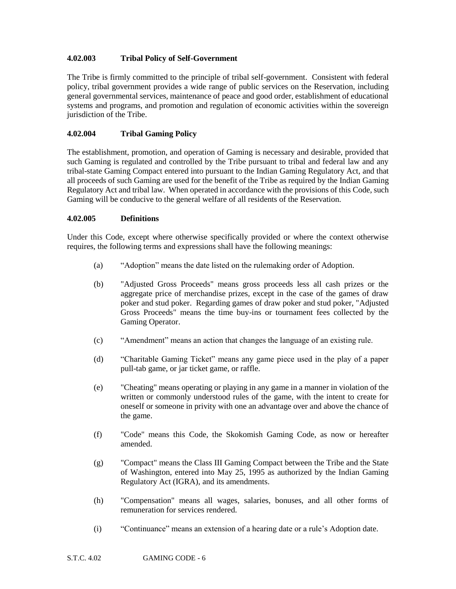# **4.02.003 Tribal Policy of Self-Government**

The Tribe is firmly committed to the principle of tribal self-government. Consistent with federal policy, tribal government provides a wide range of public services on the Reservation, including general governmental services, maintenance of peace and good order, establishment of educational systems and programs, and promotion and regulation of economic activities within the sovereign jurisdiction of the Tribe.

# **4.02.004 Tribal Gaming Policy**

The establishment, promotion, and operation of Gaming is necessary and desirable, provided that such Gaming is regulated and controlled by the Tribe pursuant to tribal and federal law and any tribal-state Gaming Compact entered into pursuant to the Indian Gaming Regulatory Act, and that all proceeds of such Gaming are used for the benefit of the Tribe as required by the Indian Gaming Regulatory Act and tribal law. When operated in accordance with the provisions of this Code, such Gaming will be conducive to the general welfare of all residents of the Reservation.

## **4.02.005 Definitions**

Under this Code, except where otherwise specifically provided or where the context otherwise requires, the following terms and expressions shall have the following meanings:

- (a)"Adoption" means the date listed on the rulemaking order of Adoption.
- (b) "Adjusted Gross Proceeds" means gross proceeds less all cash prizes or the aggregate price of merchandise prizes, except in the case of the games of draw poker and stud poker. Regarding games of draw poker and stud poker, "Adjusted Gross Proceeds" means the time buy-ins or tournament fees collected by the Gaming Operator.
- (c) "Amendment" means an action that changes the language of an existing rule.
- (d)"Charitable Gaming Ticket" means any game piece used in the play of a paper pull-tab game, or jar ticket game, or raffle.
- (e) "Cheating" means operating or playing in any game in a manner in violation of the written or commonly understood rules of the game, with the intent to create for oneself or someone in privity with one an advantage over and above the chance of the game.
- (f) "Code" means this Code, the Skokomish Gaming Code, as now or hereafter amended.
- (g) "Compact" means the Class III Gaming Compact between the Tribe and the State of Washington, entered into May 25, 1995 as authorized by the Indian Gaming Regulatory Act (IGRA), and its amendments.
- (h) "Compensation" means all wages, salaries, bonuses, and all other forms of remuneration for services rendered.
- (i) "Continuance" means an extension of a hearing date or a rule's Adoption date.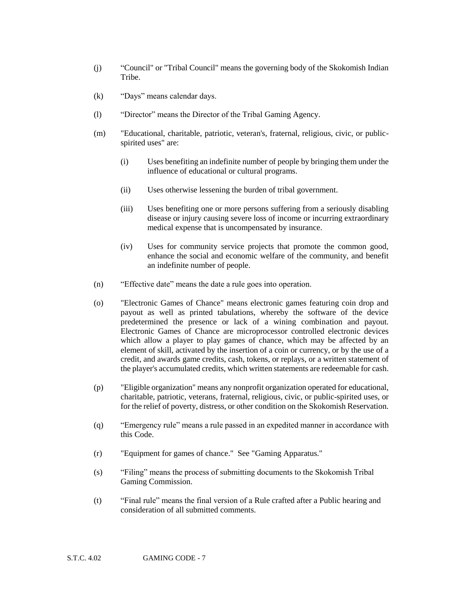- (j) "Council" or "Tribal Council" means the governing body of the Skokomish Indian Tribe.
- (k) "Days" means calendar days.
- (l) "Director" means the Director of the Tribal Gaming Agency.
- (m) "Educational, charitable, patriotic, veteran's, fraternal, religious, civic, or publicspirited uses" are:
	- (i) Uses benefiting an indefinite number of people by bringing them under the influence of educational or cultural programs.
	- (ii) Uses otherwise lessening the burden of tribal government.
	- (iii) Uses benefiting one or more persons suffering from a seriously disabling disease or injury causing severe loss of income or incurring extraordinary medical expense that is uncompensated by insurance.
	- (iv) Uses for community service projects that promote the common good, enhance the social and economic welfare of the community, and benefit an indefinite number of people.
- (n) "Effective date" means the date a rule goes into operation.
- (o) "Electronic Games of Chance" means electronic games featuring coin drop and payout as well as printed tabulations, whereby the software of the device predetermined the presence or lack of a wining combination and payout. Electronic Games of Chance are microprocessor controlled electronic devices which allow a player to play games of chance, which may be affected by an element of skill, activated by the insertion of a coin or currency, or by the use of a credit, and awards game credits, cash, tokens, or replays, or a written statement of the player's accumulated credits, which written statements are redeemable for cash.
- (p) "Eligible organization" means any nonprofit organization operated for educational, charitable, patriotic, veterans, fraternal, religious, civic, or public-spirited uses, or for the relief of poverty, distress, or other condition on the Skokomish Reservation.
- (q) "Emergency rule" means a rule passed in an expedited manner in accordance with this Code.
- (r) "Equipment for games of chance." See "Gaming Apparatus."
- (s) "Filing" means the process of submitting documents to the Skokomish Tribal Gaming Commission.
- (t) "Final rule" means the final version of a Rule crafted after a Public hearing and consideration of all submitted comments.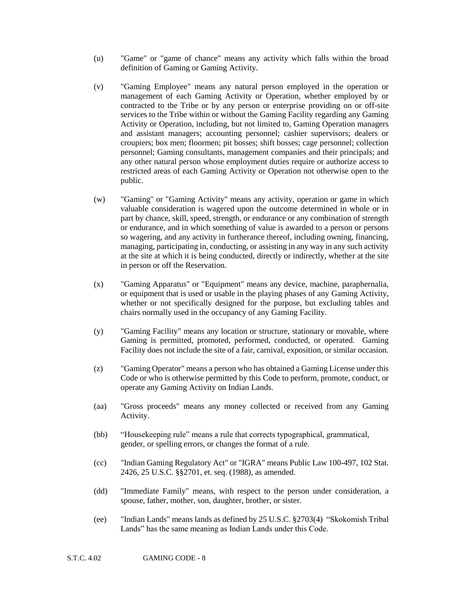- (u) "Game" or "game of chance" means any activity which falls within the broad definition of Gaming or Gaming Activity.
- (v) "Gaming Employee" means any natural person employed in the operation or management of each Gaming Activity or Operation, whether employed by or contracted to the Tribe or by any person or enterprise providing on or off-site services to the Tribe within or without the Gaming Facility regarding any Gaming Activity or Operation, including, but not limited to, Gaming Operation managers and assistant managers; accounting personnel; cashier supervisors; dealers or croupiers; box men; floormen; pit bosses; shift bosses; cage personnel; collection personnel; Gaming consultants, management companies and their principals; and any other natural person whose employment duties require or authorize access to restricted areas of each Gaming Activity or Operation not otherwise open to the public.
- (w) "Gaming" or "Gaming Activity" means any activity, operation or game in which valuable consideration is wagered upon the outcome determined in whole or in part by chance, skill, speed, strength, or endurance or any combination of strength or endurance, and in which something of value is awarded to a person or persons so wagering, and any activity in furtherance thereof, including owning, financing, managing, participating in, conducting, or assisting in any way in any such activity at the site at which it is being conducted, directly or indirectly, whether at the site in person or off the Reservation.
- (x) "Gaming Apparatus" or "Equipment" means any device, machine, paraphernalia, or equipment that is used or usable in the playing phases of any Gaming Activity, whether or not specifically designed for the purpose, but excluding tables and chairs normally used in the occupancy of any Gaming Facility.
- (y) "Gaming Facility" means any location or structure, stationary or movable, where Gaming is permitted, promoted, performed, conducted, or operated. Gaming Facility does not include the site of a fair, carnival, exposition, or similar occasion.
- (z) "Gaming Operator" means a person who has obtained a Gaming License under this Code or who is otherwise permitted by this Code to perform, promote, conduct, or operate any Gaming Activity on Indian Lands.
- (aa) "Gross proceeds" means any money collected or received from any Gaming Activity.
- (bb) "Housekeeping rule" means a rule that corrects typographical, grammatical, gender, or spelling errors, or changes the format of a rule.
- (cc) "Indian Gaming Regulatory Act" or "IGRA" means Public Law 100-497, 102 Stat. 2426, 25 U.S.C. §§2701, et. seq. (1988), as amended.
- (dd) "Immediate Family" means, with respect to the person under consideration, a spouse, father, mother, son, daughter, brother, or sister.
- (ee) "Indian Lands" means lands as defined by 25 U.S.C. §2703(4) "Skokomish Tribal Lands" has the same meaning as Indian Lands under this Code.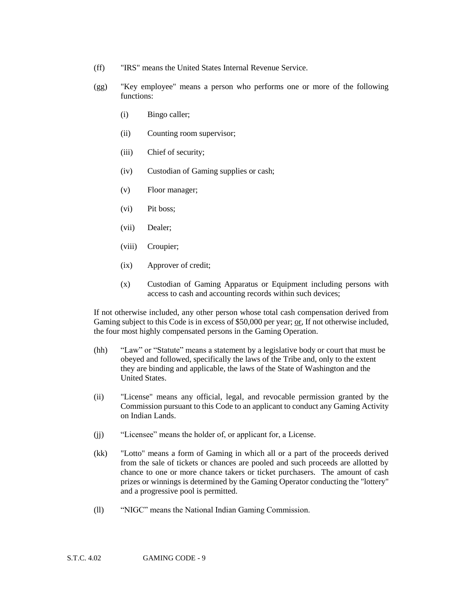- (ff) "IRS" means the United States Internal Revenue Service.
- (gg) "Key employee" means a person who performs one or more of the following functions:
	- (i) Bingo caller;
	- (ii) Counting room supervisor;
	- (iii) Chief of security;
	- (iv) Custodian of Gaming supplies or cash;
	- (v) Floor manager;
	- (vi) Pit boss;
	- (vii) Dealer;
	- (viii) Croupier;
	- (ix) Approver of credit;
	- (x) Custodian of Gaming Apparatus or Equipment including persons with access to cash and accounting records within such devices;

If not otherwise included, any other person whose total cash compensation derived from Gaming subject to this Code is in excess of \$50,000 per year; or, If not otherwise included, the four most highly compensated persons in the Gaming Operation.

- (hh) "Law" or "Statute" means a statement by a legislative body or court that must be obeyed and followed, specifically the laws of the Tribe and, only to the extent they are binding and applicable, the laws of the State of Washington and the United States.
- (ii) "License" means any official, legal, and revocable permission granted by the Commission pursuant to this Code to an applicant to conduct any Gaming Activity on Indian Lands.
- (jj) "Licensee" means the holder of, or applicant for, a License.
- (kk) "Lotto" means a form of Gaming in which all or a part of the proceeds derived from the sale of tickets or chances are pooled and such proceeds are allotted by chance to one or more chance takers or ticket purchasers. The amount of cash prizes or winnings is determined by the Gaming Operator conducting the "lottery" and a progressive pool is permitted.
- (ll) "NIGC" means the National Indian Gaming Commission.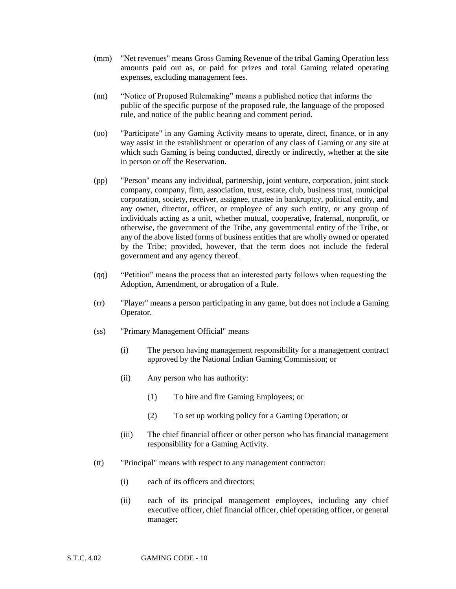- (mm) "Net revenues" means Gross Gaming Revenue of the tribal Gaming Operation less amounts paid out as, or paid for prizes and total Gaming related operating expenses, excluding management fees.
- (nn) "Notice of Proposed Rulemaking" means a published notice that informs the public of the specific purpose of the proposed rule, the language of the proposed rule, and notice of the public hearing and comment period.
- (oo) "Participate" in any Gaming Activity means to operate, direct, finance, or in any way assist in the establishment or operation of any class of Gaming or any site at which such Gaming is being conducted, directly or indirectly, whether at the site in person or off the Reservation.
- (pp) "Person" means any individual, partnership, joint venture, corporation, joint stock company, company, firm, association, trust, estate, club, business trust, municipal corporation, society, receiver, assignee, trustee in bankruptcy, political entity, and any owner, director, officer, or employee of any such entity, or any group of individuals acting as a unit, whether mutual, cooperative, fraternal, nonprofit, or otherwise, the government of the Tribe, any governmental entity of the Tribe, or any of the above listed forms of business entities that are wholly owned or operated by the Tribe; provided, however, that the term does not include the federal government and any agency thereof.
- (qq) "Petition" means the process that an interested party follows when requesting the Adoption, Amendment, or abrogation of a Rule.
- (rr) "Player" means a person participating in any game, but does not include a Gaming Operator.
- (ss) "Primary Management Official" means
	- (i) The person having management responsibility for a management contract approved by the National Indian Gaming Commission; or
	- (ii) Any person who has authority:
		- (1) To hire and fire Gaming Employees; or
		- (2) To set up working policy for a Gaming Operation; or
	- (iii) The chief financial officer or other person who has financial management responsibility for a Gaming Activity.
- (tt) "Principal" means with respect to any management contractor:
	- (i) each of its officers and directors;
	- (ii) each of its principal management employees, including any chief executive officer, chief financial officer, chief operating officer, or general manager;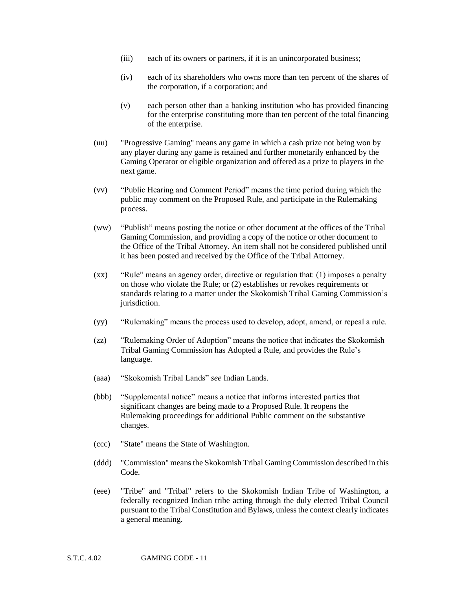- (iii) each of its owners or partners, if it is an unincorporated business;
- (iv) each of its shareholders who owns more than ten percent of the shares of the corporation, if a corporation; and
- (v) each person other than a banking institution who has provided financing for the enterprise constituting more than ten percent of the total financing of the enterprise.
- (uu) "Progressive Gaming" means any game in which a cash prize not being won by any player during any game is retained and further monetarily enhanced by the Gaming Operator or eligible organization and offered as a prize to players in the next game.
- (vv) "Public Hearing and Comment Period" means the time period during which the public may comment on the Proposed Rule, and participate in the Rulemaking process.
- (ww) "Publish" means posting the notice or other document at the offices of the Tribal Gaming Commission, and providing a copy of the notice or other document to the Office of the Tribal Attorney. An item shall not be considered published until it has been posted and received by the Office of the Tribal Attorney.
- (xx) "Rule" means an agency order, directive or regulation that: (1) imposes a penalty on those who violate the Rule; or (2) establishes or revokes requirements or standards relating to a matter under the Skokomish Tribal Gaming Commission's jurisdiction.
- (yy) "Rulemaking" means the process used to develop, adopt, amend, or repeal a rule.
- (zz) "Rulemaking Order of Adoption" means the notice that indicates the Skokomish Tribal Gaming Commission has Adopted a Rule, and provides the Rule's language.
- (aaa) "Skokomish Tribal Lands" *see* Indian Lands.
- (bbb) "Supplemental notice" means a notice that informs interested parties that significant changes are being made to a Proposed Rule. It reopens the Rulemaking proceedings for additional Public comment on the substantive changes.
- (ccc) "State" means the State of Washington.
- (ddd) "Commission" means the Skokomish Tribal Gaming Commission described in this Code.
- (eee) "Tribe" and "Tribal" refers to the Skokomish Indian Tribe of Washington, a federally recognized Indian tribe acting through the duly elected Tribal Council pursuant to the Tribal Constitution and Bylaws, unless the context clearly indicates a general meaning.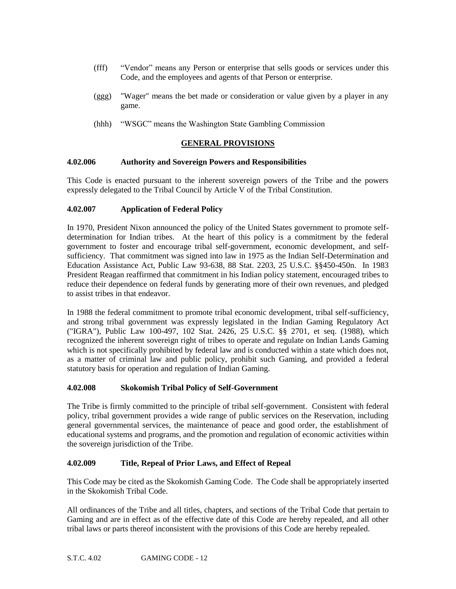- (fff) "Vendor" means any Person or enterprise that sells goods or services under this Code, and the employees and agents of that Person or enterprise.
- (ggg) "Wager" means the bet made or consideration or value given by a player in any game.
- (hhh) "WSGC" means the Washington State Gambling Commission

# **GENERAL PROVISIONS**

# **4.02.006 Authority and Sovereign Powers and Responsibilities**

This Code is enacted pursuant to the inherent sovereign powers of the Tribe and the powers expressly delegated to the Tribal Council by Article V of the Tribal Constitution.

# **4.02.007 Application of Federal Policy**

In 1970, President Nixon announced the policy of the United States government to promote selfdetermination for Indian tribes. At the heart of this policy is a commitment by the federal government to foster and encourage tribal self-government, economic development, and selfsufficiency. That commitment was signed into law in 1975 as the Indian Self-Determination and Education Assistance Act, Public Law 93-638, 88 Stat. 2203, 25 U.S.C. §§450-450n. In 1983 President Reagan reaffirmed that commitment in his Indian policy statement, encouraged tribes to reduce their dependence on federal funds by generating more of their own revenues, and pledged to assist tribes in that endeavor.

In 1988 the federal commitment to promote tribal economic development, tribal self-sufficiency, and strong tribal government was expressly legislated in the Indian Gaming Regulatory Act ("IGRA"), Public Law 100-497, 102 Stat. 2426, 25 U.S.C. §§ 2701, et seq. (1988), which recognized the inherent sovereign right of tribes to operate and regulate on Indian Lands Gaming which is not specifically prohibited by federal law and is conducted within a state which does not, as a matter of criminal law and public policy, prohibit such Gaming, and provided a federal statutory basis for operation and regulation of Indian Gaming.

## **4.02.008 Skokomish Tribal Policy of Self-Government**

The Tribe is firmly committed to the principle of tribal self-government. Consistent with federal policy, tribal government provides a wide range of public services on the Reservation, including general governmental services, the maintenance of peace and good order, the establishment of educational systems and programs, and the promotion and regulation of economic activities within the sovereign jurisdiction of the Tribe.

## **4.02.009 Title, Repeal of Prior Laws, and Effect of Repeal**

This Code may be cited as the Skokomish Gaming Code. The Code shall be appropriately inserted in the Skokomish Tribal Code.

All ordinances of the Tribe and all titles, chapters, and sections of the Tribal Code that pertain to Gaming and are in effect as of the effective date of this Code are hereby repealed, and all other tribal laws or parts thereof inconsistent with the provisions of this Code are hereby repealed.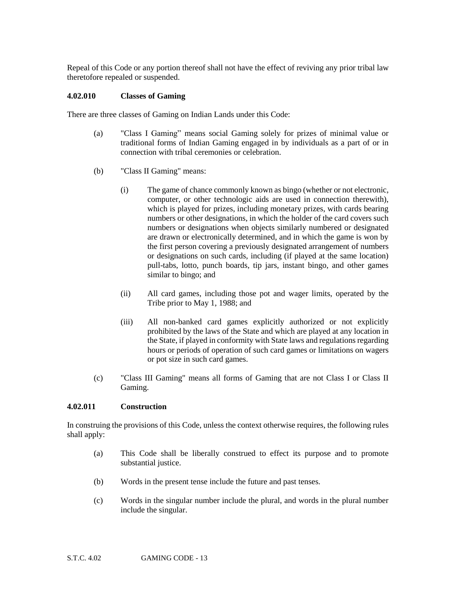Repeal of this Code or any portion thereof shall not have the effect of reviving any prior tribal law theretofore repealed or suspended.

#### **4.02.010 Classes of Gaming**

There are three classes of Gaming on Indian Lands under this Code:

- (a) "Class I Gaming" means social Gaming solely for prizes of minimal value or traditional forms of Indian Gaming engaged in by individuals as a part of or in connection with tribal ceremonies or celebration.
- (b) "Class II Gaming" means:
	- (i) The game of chance commonly known as bingo (whether or not electronic, computer, or other technologic aids are used in connection therewith), which is played for prizes, including monetary prizes, with cards bearing numbers or other designations, in which the holder of the card covers such numbers or designations when objects similarly numbered or designated are drawn or electronically determined, and in which the game is won by the first person covering a previously designated arrangement of numbers or designations on such cards, including (if played at the same location) pull-tabs, lotto, punch boards, tip jars, instant bingo, and other games similar to bingo; and
	- (ii) All card games, including those pot and wager limits, operated by the Tribe prior to May 1, 1988; and
	- (iii) All non-banked card games explicitly authorized or not explicitly prohibited by the laws of the State and which are played at any location in the State, if played in conformity with State laws and regulations regarding hours or periods of operation of such card games or limitations on wagers or pot size in such card games.
- (c) "Class III Gaming" means all forms of Gaming that are not Class I or Class II Gaming.

#### **4.02.011 Construction**

In construing the provisions of this Code, unless the context otherwise requires, the following rules shall apply:

- (a) This Code shall be liberally construed to effect its purpose and to promote substantial justice.
- (b) Words in the present tense include the future and past tenses.
- (c) Words in the singular number include the plural, and words in the plural number include the singular.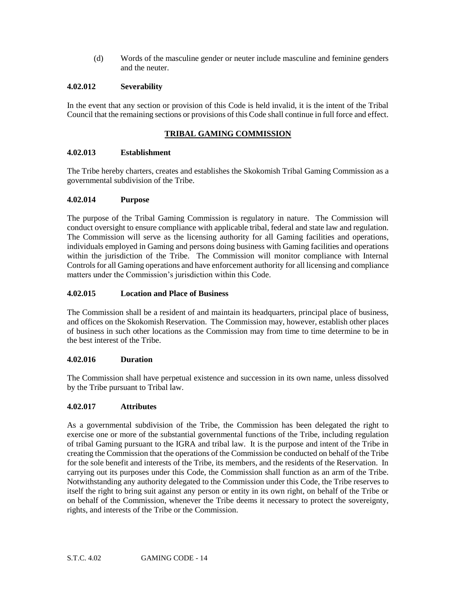(d) Words of the masculine gender or neuter include masculine and feminine genders and the neuter.

# **4.02.012 Severability**

In the event that any section or provision of this Code is held invalid, it is the intent of the Tribal Council that the remaining sections or provisions of this Code shall continue in full force and effect.

# **TRIBAL GAMING COMMISSION**

## **4.02.013 Establishment**

The Tribe hereby charters, creates and establishes the Skokomish Tribal Gaming Commission as a governmental subdivision of the Tribe.

## **4.02.014 Purpose**

The purpose of the Tribal Gaming Commission is regulatory in nature. The Commission will conduct oversight to ensure compliance with applicable tribal, federal and state law and regulation. The Commission will serve as the licensing authority for all Gaming facilities and operations, individuals employed in Gaming and persons doing business with Gaming facilities and operations within the jurisdiction of the Tribe. The Commission will monitor compliance with Internal Controls for all Gaming operations and have enforcement authority for all licensing and compliance matters under the Commission's jurisdiction within this Code.

## **4.02.015 Location and Place of Business**

The Commission shall be a resident of and maintain its headquarters, principal place of business, and offices on the Skokomish Reservation. The Commission may, however, establish other places of business in such other locations as the Commission may from time to time determine to be in the best interest of the Tribe.

## **4.02.016 Duration**

The Commission shall have perpetual existence and succession in its own name, unless dissolved by the Tribe pursuant to Tribal law.

## **4.02.017 Attributes**

As a governmental subdivision of the Tribe, the Commission has been delegated the right to exercise one or more of the substantial governmental functions of the Tribe, including regulation of tribal Gaming pursuant to the IGRA and tribal law. It is the purpose and intent of the Tribe in creating the Commission that the operations of the Commission be conducted on behalf of the Tribe for the sole benefit and interests of the Tribe, its members, and the residents of the Reservation. In carrying out its purposes under this Code, the Commission shall function as an arm of the Tribe. Notwithstanding any authority delegated to the Commission under this Code, the Tribe reserves to itself the right to bring suit against any person or entity in its own right, on behalf of the Tribe or on behalf of the Commission, whenever the Tribe deems it necessary to protect the sovereignty, rights, and interests of the Tribe or the Commission.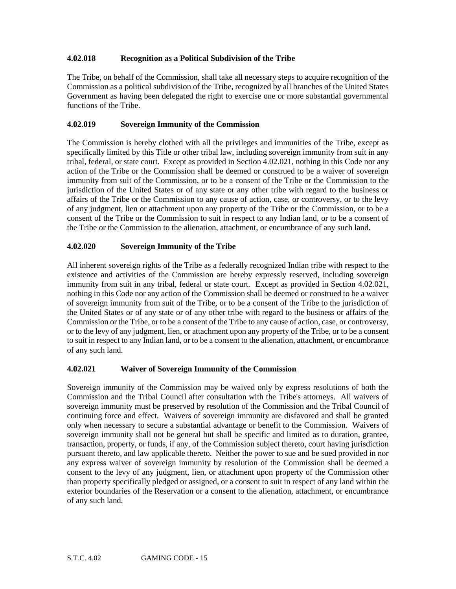# **4.02.018 Recognition as a Political Subdivision of the Tribe**

The Tribe, on behalf of the Commission, shall take all necessary steps to acquire recognition of the Commission as a political subdivision of the Tribe, recognized by all branches of the United States Government as having been delegated the right to exercise one or more substantial governmental functions of the Tribe.

# **4.02.019 Sovereign Immunity of the Commission**

The Commission is hereby clothed with all the privileges and immunities of the Tribe, except as specifically limited by this Title or other tribal law, including sovereign immunity from suit in any tribal, federal, or state court. Except as provided in Section 4.02.021, nothing in this Code nor any action of the Tribe or the Commission shall be deemed or construed to be a waiver of sovereign immunity from suit of the Commission, or to be a consent of the Tribe or the Commission to the jurisdiction of the United States or of any state or any other tribe with regard to the business or affairs of the Tribe or the Commission to any cause of action, case, or controversy, or to the levy of any judgment, lien or attachment upon any property of the Tribe or the Commission, or to be a consent of the Tribe or the Commission to suit in respect to any Indian land, or to be a consent of the Tribe or the Commission to the alienation, attachment, or encumbrance of any such land.

# **4.02.020 Sovereign Immunity of the Tribe**

All inherent sovereign rights of the Tribe as a federally recognized Indian tribe with respect to the existence and activities of the Commission are hereby expressly reserved, including sovereign immunity from suit in any tribal, federal or state court. Except as provided in Section 4.02.021, nothing in this Code nor any action of the Commission shall be deemed or construed to be a waiver of sovereign immunity from suit of the Tribe, or to be a consent of the Tribe to the jurisdiction of the United States or of any state or of any other tribe with regard to the business or affairs of the Commission or the Tribe, or to be a consent of the Tribe to any cause of action, case, or controversy, or to the levy of any judgment, lien, or attachment upon any property of the Tribe, or to be a consent to suit in respect to any Indian land, or to be a consent to the alienation, attachment, or encumbrance of any such land.

# **4.02.021 Waiver of Sovereign Immunity of the Commission**

Sovereign immunity of the Commission may be waived only by express resolutions of both the Commission and the Tribal Council after consultation with the Tribe's attorneys. All waivers of sovereign immunity must be preserved by resolution of the Commission and the Tribal Council of continuing force and effect. Waivers of sovereign immunity are disfavored and shall be granted only when necessary to secure a substantial advantage or benefit to the Commission. Waivers of sovereign immunity shall not be general but shall be specific and limited as to duration, grantee, transaction, property, or funds, if any, of the Commission subject thereto, court having jurisdiction pursuant thereto, and law applicable thereto. Neither the power to sue and be sued provided in nor any express waiver of sovereign immunity by resolution of the Commission shall be deemed a consent to the levy of any judgment, lien, or attachment upon property of the Commission other than property specifically pledged or assigned, or a consent to suit in respect of any land within the exterior boundaries of the Reservation or a consent to the alienation, attachment, or encumbrance of any such land.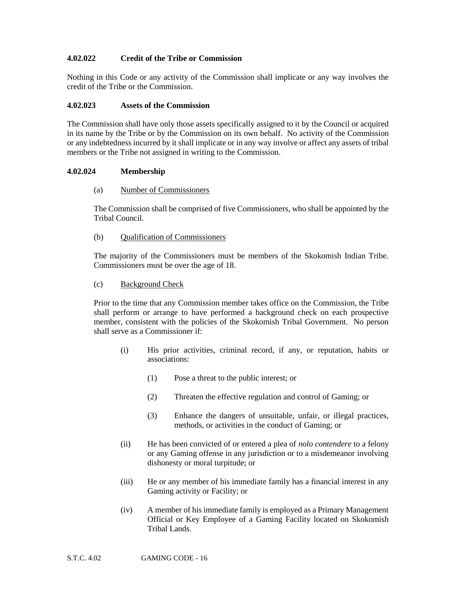## **4.02.022 Credit of the Tribe or Commission**

Nothing in this Code or any activity of the Commission shall implicate or any way involves the credit of the Tribe or the Commission.

#### **4.02.023 Assets of the Commission**

The Commission shall have only those assets specifically assigned to it by the Council or acquired in its name by the Tribe or by the Commission on its own behalf. No activity of the Commission or any indebtedness incurred by it shall implicate or in any way involve or affect any assets of tribal members or the Tribe not assigned in writing to the Commission.

#### **4.02.024 Membership**

#### (a) Number of Commissioners

The Commission shall be comprised of five Commissioners, who shall be appointed by the Tribal Council.

## (b) Qualification of Commissioners

The majority of the Commissioners must be members of the Skokomish Indian Tribe. Commissioners must be over the age of 18.

#### (c) Background Check

Prior to the time that any Commission member takes office on the Commission, the Tribe shall perform or arrange to have performed a background check on each prospective member, consistent with the policies of the Skokomish Tribal Government. No person shall serve as a Commissioner if:

- (i) His prior activities, criminal record, if any, or reputation, habits or associations:
	- (1) Pose a threat to the public interest; or
	- (2) Threaten the effective regulation and control of Gaming; or
	- (3) Enhance the dangers of unsuitable, unfair, or illegal practices, methods, or activities in the conduct of Gaming; or
- (ii) He has been convicted of or entered a plea of *nolo contendere* to a felony or any Gaming offense in any jurisdiction or to a misdemeanor involving dishonesty or moral turpitude; or
- (iii) He or any member of his immediate family has a financial interest in any Gaming activity or Facility; or
- (iv) A member of his immediate family is employed as a Primary Management Official or Key Employee of a Gaming Facility located on Skokomish Tribal Lands.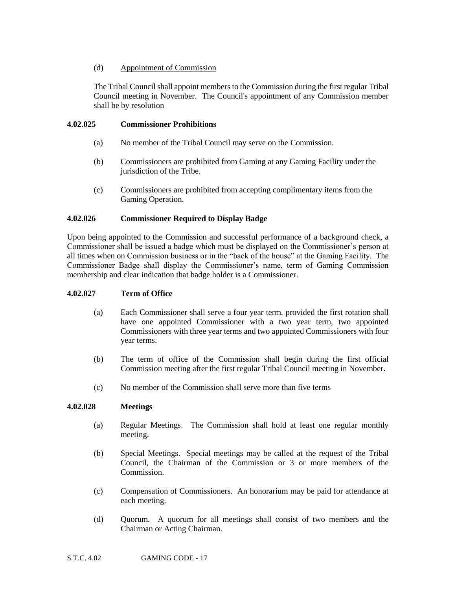# (d) Appointment of Commission

The Tribal Council shall appoint members to the Commission during the first regular Tribal Council meeting in November. The Council's appointment of any Commission member shall be by resolution

# **4.02.025 Commissioner Prohibitions**

- (a) No member of the Tribal Council may serve on the Commission.
- (b) Commissioners are prohibited from Gaming at any Gaming Facility under the jurisdiction of the Tribe.
- (c) Commissioners are prohibited from accepting complimentary items from the Gaming Operation.

# **4.02.026 Commissioner Required to Display Badge**

Upon being appointed to the Commission and successful performance of a background check, a Commissioner shall be issued a badge which must be displayed on the Commissioner's person at all times when on Commission business or in the "back of the house" at the Gaming Facility. The Commissioner Badge shall display the Commissioner's name, term of Gaming Commission membership and clear indication that badge holder is a Commissioner.

## **4.02.027 Term of Office**

- (a) Each Commissioner shall serve a four year term, provided the first rotation shall have one appointed Commissioner with a two year term, two appointed Commissioners with three year terms and two appointed Commissioners with four year terms.
- (b) The term of office of the Commission shall begin during the first official Commission meeting after the first regular Tribal Council meeting in November.
- (c) No member of the Commission shall serve more than five terms

## **4.02.028 Meetings**

- (a) Regular Meetings. The Commission shall hold at least one regular monthly meeting.
- (b) Special Meetings. Special meetings may be called at the request of the Tribal Council, the Chairman of the Commission or 3 or more members of the Commission.
- (c) Compensation of Commissioners. An honorarium may be paid for attendance at each meeting.
- (d) Quorum. A quorum for all meetings shall consist of two members and the Chairman or Acting Chairman.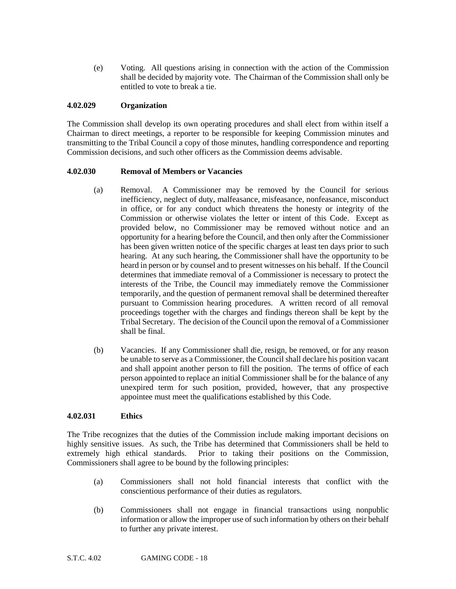(e) Voting. All questions arising in connection with the action of the Commission shall be decided by majority vote. The Chairman of the Commission shall only be entitled to vote to break a tie.

#### **4.02.029 Organization**

The Commission shall develop its own operating procedures and shall elect from within itself a Chairman to direct meetings, a reporter to be responsible for keeping Commission minutes and transmitting to the Tribal Council a copy of those minutes, handling correspondence and reporting Commission decisions, and such other officers as the Commission deems advisable.

#### **4.02.030 Removal of Members or Vacancies**

- (a) Removal. A Commissioner may be removed by the Council for serious inefficiency, neglect of duty, malfeasance, misfeasance, nonfeasance, misconduct in office, or for any conduct which threatens the honesty or integrity of the Commission or otherwise violates the letter or intent of this Code. Except as provided below, no Commissioner may be removed without notice and an opportunity for a hearing before the Council, and then only after the Commissioner has been given written notice of the specific charges at least ten days prior to such hearing. At any such hearing, the Commissioner shall have the opportunity to be heard in person or by counsel and to present witnesses on his behalf. If the Council determines that immediate removal of a Commissioner is necessary to protect the interests of the Tribe, the Council may immediately remove the Commissioner temporarily, and the question of permanent removal shall be determined thereafter pursuant to Commission hearing procedures. A written record of all removal proceedings together with the charges and findings thereon shall be kept by the Tribal Secretary. The decision of the Council upon the removal of a Commissioner shall be final.
- (b) Vacancies. If any Commissioner shall die, resign, be removed, or for any reason be unable to serve as a Commissioner, the Council shall declare his position vacant and shall appoint another person to fill the position. The terms of office of each person appointed to replace an initial Commissioner shall be for the balance of any unexpired term for such position, provided, however, that any prospective appointee must meet the qualifications established by this Code.

## **4.02.031 Ethics**

The Tribe recognizes that the duties of the Commission include making important decisions on highly sensitive issues. As such, the Tribe has determined that Commissioners shall be held to extremely high ethical standards. Prior to taking their positions on the Commission, Commissioners shall agree to be bound by the following principles:

- (a) Commissioners shall not hold financial interests that conflict with the conscientious performance of their duties as regulators.
- (b) Commissioners shall not engage in financial transactions using nonpublic information or allow the improper use of such information by others on their behalf to further any private interest.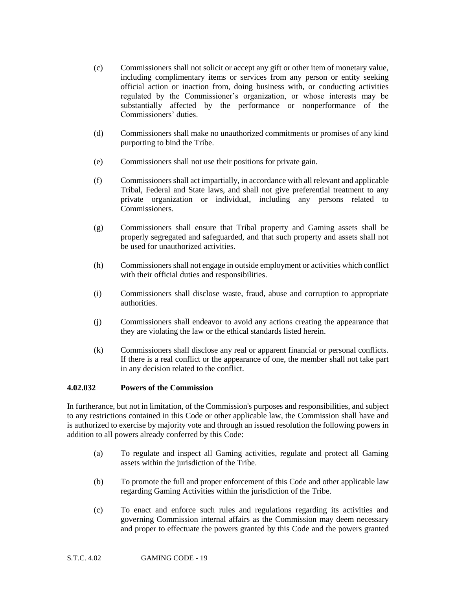- (c) Commissioners shall not solicit or accept any gift or other item of monetary value, including complimentary items or services from any person or entity seeking official action or inaction from, doing business with, or conducting activities regulated by the Commissioner's organization, or whose interests may be substantially affected by the performance or nonperformance of the Commissioners' duties.
- (d) Commissioners shall make no unauthorized commitments or promises of any kind purporting to bind the Tribe.
- (e) Commissioners shall not use their positions for private gain.
- (f) Commissioners shall act impartially, in accordance with all relevant and applicable Tribal, Federal and State laws, and shall not give preferential treatment to any private organization or individual, including any persons related to **Commissioners**
- (g) Commissioners shall ensure that Tribal property and Gaming assets shall be properly segregated and safeguarded, and that such property and assets shall not be used for unauthorized activities.
- (h) Commissioners shall not engage in outside employment or activities which conflict with their official duties and responsibilities.
- (i) Commissioners shall disclose waste, fraud, abuse and corruption to appropriate authorities.
- (j) Commissioners shall endeavor to avoid any actions creating the appearance that they are violating the law or the ethical standards listed herein.
- (k) Commissioners shall disclose any real or apparent financial or personal conflicts. If there is a real conflict or the appearance of one, the member shall not take part in any decision related to the conflict.

## **4.02.032 Powers of the Commission**

In furtherance, but not in limitation, of the Commission's purposes and responsibilities, and subject to any restrictions contained in this Code or other applicable law, the Commission shall have and is authorized to exercise by majority vote and through an issued resolution the following powers in addition to all powers already conferred by this Code:

- (a) To regulate and inspect all Gaming activities, regulate and protect all Gaming assets within the jurisdiction of the Tribe.
- (b) To promote the full and proper enforcement of this Code and other applicable law regarding Gaming Activities within the jurisdiction of the Tribe.
- (c) To enact and enforce such rules and regulations regarding its activities and governing Commission internal affairs as the Commission may deem necessary and proper to effectuate the powers granted by this Code and the powers granted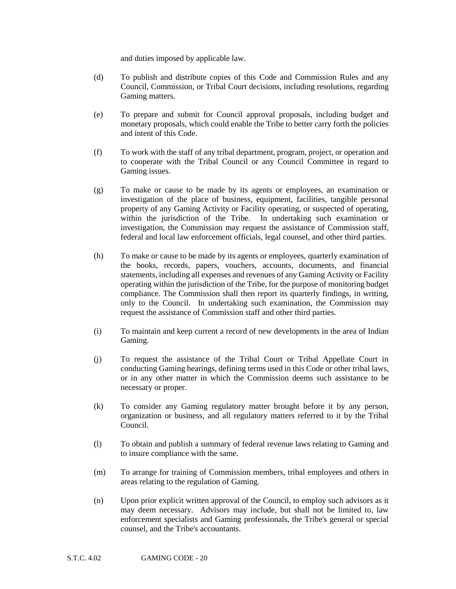and duties imposed by applicable law.

- (d) To publish and distribute copies of this Code and Commission Rules and any Council, Commission, or Tribal Court decisions, including resolutions, regarding Gaming matters.
- (e) To prepare and submit for Council approval proposals, including budget and monetary proposals, which could enable the Tribe to better carry forth the policies and intent of this Code.
- (f) To work with the staff of any tribal department, program, project, or operation and to cooperate with the Tribal Council or any Council Committee in regard to Gaming issues.
- (g) To make or cause to be made by its agents or employees, an examination or investigation of the place of business, equipment, facilities, tangible personal property of any Gaming Activity or Facility operating, or suspected of operating, within the jurisdiction of the Tribe. In undertaking such examination or investigation, the Commission may request the assistance of Commission staff, federal and local law enforcement officials, legal counsel, and other third parties.
- (h) To make or cause to be made by its agents or employees, quarterly examination of the books, records, papers, vouchers, accounts, documents, and financial statements, including all expenses and revenues of any Gaming Activity or Facility operating within the jurisdiction of the Tribe, for the purpose of monitoring budget compliance. The Commission shall then report its quarterly findings, in writing, only to the Council. In undertaking such examination, the Commission may request the assistance of Commission staff and other third parties.
- (i) To maintain and keep current a record of new developments in the area of Indian Gaming.
- (j) To request the assistance of the Tribal Court or Tribal Appellate Court in conducting Gaming hearings, defining terms used in this Code or other tribal laws, or in any other matter in which the Commission deems such assistance to be necessary or proper.
- (k) To consider any Gaming regulatory matter brought before it by any person, organization or business, and all regulatory matters referred to it by the Tribal Council.
- (l) To obtain and publish a summary of federal revenue laws relating to Gaming and to insure compliance with the same.
- (m) To arrange for training of Commission members, tribal employees and others in areas relating to the regulation of Gaming.
- (n) Upon prior explicit written approval of the Council, to employ such advisors as it may deem necessary. Advisors may include, but shall not be limited to, law enforcement specialists and Gaming professionals, the Tribe's general or special counsel, and the Tribe's accountants.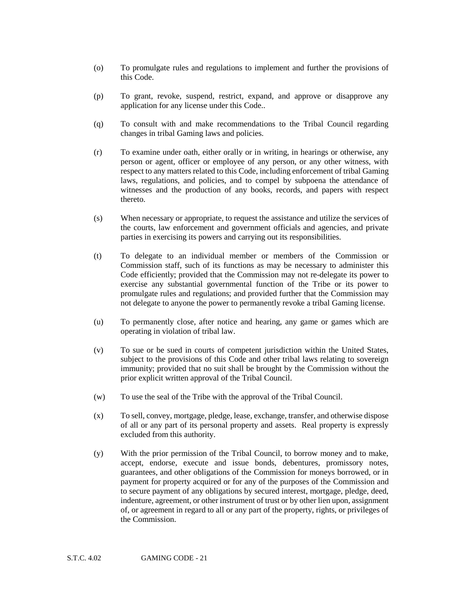- (o) To promulgate rules and regulations to implement and further the provisions of this Code.
- (p) To grant, revoke, suspend, restrict, expand, and approve or disapprove any application for any license under this Code..
- (q) To consult with and make recommendations to the Tribal Council regarding changes in tribal Gaming laws and policies.
- (r) To examine under oath, either orally or in writing, in hearings or otherwise, any person or agent, officer or employee of any person, or any other witness, with respect to any matters related to this Code, including enforcement of tribal Gaming laws, regulations, and policies, and to compel by subpoena the attendance of witnesses and the production of any books, records, and papers with respect thereto.
- (s) When necessary or appropriate, to request the assistance and utilize the services of the courts, law enforcement and government officials and agencies, and private parties in exercising its powers and carrying out its responsibilities.
- (t) To delegate to an individual member or members of the Commission or Commission staff, such of its functions as may be necessary to administer this Code efficiently; provided that the Commission may not re-delegate its power to exercise any substantial governmental function of the Tribe or its power to promulgate rules and regulations; and provided further that the Commission may not delegate to anyone the power to permanently revoke a tribal Gaming license.
- (u) To permanently close, after notice and hearing, any game or games which are operating in violation of tribal law.
- (v) To sue or be sued in courts of competent jurisdiction within the United States, subject to the provisions of this Code and other tribal laws relating to sovereign immunity; provided that no suit shall be brought by the Commission without the prior explicit written approval of the Tribal Council.
- (w) To use the seal of the Tribe with the approval of the Tribal Council.
- (x) To sell, convey, mortgage, pledge, lease, exchange, transfer, and otherwise dispose of all or any part of its personal property and assets. Real property is expressly excluded from this authority.
- (y) With the prior permission of the Tribal Council, to borrow money and to make, accept, endorse, execute and issue bonds, debentures, promissory notes, guarantees, and other obligations of the Commission for moneys borrowed, or in payment for property acquired or for any of the purposes of the Commission and to secure payment of any obligations by secured interest, mortgage, pledge, deed, indenture, agreement, or other instrument of trust or by other lien upon, assignment of, or agreement in regard to all or any part of the property, rights, or privileges of the Commission.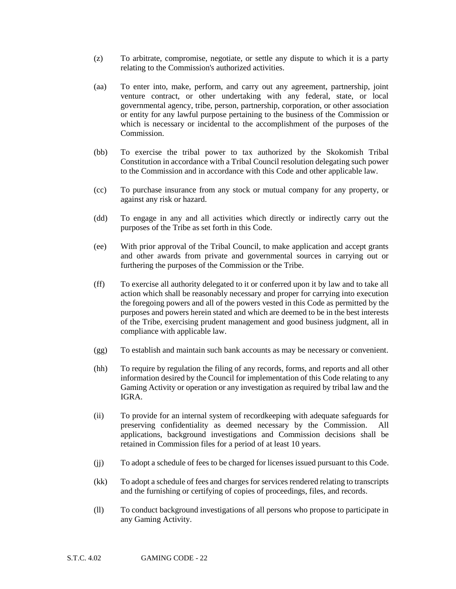- (z) To arbitrate, compromise, negotiate, or settle any dispute to which it is a party relating to the Commission's authorized activities.
- (aa) To enter into, make, perform, and carry out any agreement, partnership, joint venture contract, or other undertaking with any federal, state, or local governmental agency, tribe, person, partnership, corporation, or other association or entity for any lawful purpose pertaining to the business of the Commission or which is necessary or incidental to the accomplishment of the purposes of the Commission.
- (bb) To exercise the tribal power to tax authorized by the Skokomish Tribal Constitution in accordance with a Tribal Council resolution delegating such power to the Commission and in accordance with this Code and other applicable law.
- (cc) To purchase insurance from any stock or mutual company for any property, or against any risk or hazard.
- (dd) To engage in any and all activities which directly or indirectly carry out the purposes of the Tribe as set forth in this Code.
- (ee) With prior approval of the Tribal Council, to make application and accept grants and other awards from private and governmental sources in carrying out or furthering the purposes of the Commission or the Tribe.
- (ff) To exercise all authority delegated to it or conferred upon it by law and to take all action which shall be reasonably necessary and proper for carrying into execution the foregoing powers and all of the powers vested in this Code as permitted by the purposes and powers herein stated and which are deemed to be in the best interests of the Tribe, exercising prudent management and good business judgment, all in compliance with applicable law.
- (gg) To establish and maintain such bank accounts as may be necessary or convenient.
- (hh) To require by regulation the filing of any records, forms, and reports and all other information desired by the Council for implementation of this Code relating to any Gaming Activity or operation or any investigation as required by tribal law and the IGRA.
- (ii) To provide for an internal system of recordkeeping with adequate safeguards for preserving confidentiality as deemed necessary by the Commission. All applications, background investigations and Commission decisions shall be retained in Commission files for a period of at least 10 years.
- (jj) To adopt a schedule of fees to be charged for licenses issued pursuant to this Code.
- (kk) To adopt a schedule of fees and charges for services rendered relating to transcripts and the furnishing or certifying of copies of proceedings, files, and records.
- (ll) To conduct background investigations of all persons who propose to participate in any Gaming Activity.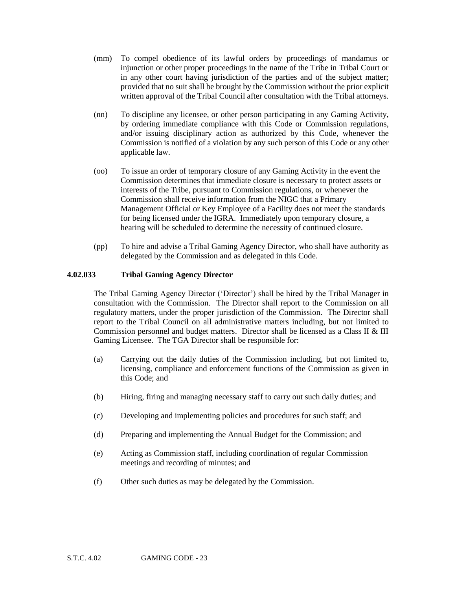- (mm) To compel obedience of its lawful orders by proceedings of mandamus or injunction or other proper proceedings in the name of the Tribe in Tribal Court or in any other court having jurisdiction of the parties and of the subject matter; provided that no suit shall be brought by the Commission without the prior explicit written approval of the Tribal Council after consultation with the Tribal attorneys.
- (nn) To discipline any licensee, or other person participating in any Gaming Activity, by ordering immediate compliance with this Code or Commission regulations, and/or issuing disciplinary action as authorized by this Code, whenever the Commission is notified of a violation by any such person of this Code or any other applicable law.
- (oo) To issue an order of temporary closure of any Gaming Activity in the event the Commission determines that immediate closure is necessary to protect assets or interests of the Tribe, pursuant to Commission regulations, or whenever the Commission shall receive information from the NIGC that a Primary Management Official or Key Employee of a Facility does not meet the standards for being licensed under the IGRA. Immediately upon temporary closure, a hearing will be scheduled to determine the necessity of continued closure.
- (pp) To hire and advise a Tribal Gaming Agency Director, who shall have authority as delegated by the Commission and as delegated in this Code.

#### **4.02.033 Tribal Gaming Agency Director**

The Tribal Gaming Agency Director ('Director') shall be hired by the Tribal Manager in consultation with the Commission. The Director shall report to the Commission on all regulatory matters, under the proper jurisdiction of the Commission. The Director shall report to the Tribal Council on all administrative matters including, but not limited to Commission personnel and budget matters. Director shall be licensed as a Class II & III Gaming Licensee. The TGA Director shall be responsible for:

- (a) Carrying out the daily duties of the Commission including, but not limited to, licensing, compliance and enforcement functions of the Commission as given in this Code; and
- (b) Hiring, firing and managing necessary staff to carry out such daily duties; and
- (c) Developing and implementing policies and procedures for such staff; and
- (d) Preparing and implementing the Annual Budget for the Commission; and
- (e) Acting as Commission staff, including coordination of regular Commission meetings and recording of minutes; and
- (f) Other such duties as may be delegated by the Commission.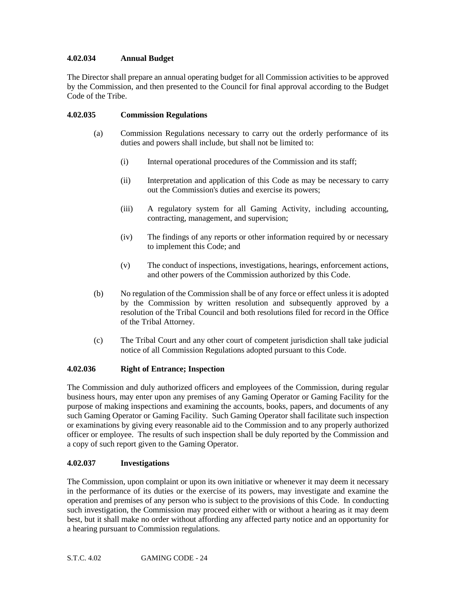# **4.02.034 Annual Budget**

The Director shall prepare an annual operating budget for all Commission activities to be approved by the Commission, and then presented to the Council for final approval according to the Budget Code of the Tribe.

# **4.02.035 Commission Regulations**

- (a) Commission Regulations necessary to carry out the orderly performance of its duties and powers shall include, but shall not be limited to:
	- (i) Internal operational procedures of the Commission and its staff;
	- (ii) Interpretation and application of this Code as may be necessary to carry out the Commission's duties and exercise its powers;
	- (iii) A regulatory system for all Gaming Activity, including accounting, contracting, management, and supervision;
	- (iv) The findings of any reports or other information required by or necessary to implement this Code; and
	- (v) The conduct of inspections, investigations, hearings, enforcement actions, and other powers of the Commission authorized by this Code.
- (b) No regulation of the Commission shall be of any force or effect unless it is adopted by the Commission by written resolution and subsequently approved by a resolution of the Tribal Council and both resolutions filed for record in the Office of the Tribal Attorney.
- (c) The Tribal Court and any other court of competent jurisdiction shall take judicial notice of all Commission Regulations adopted pursuant to this Code.

## **4.02.036 Right of Entrance; Inspection**

The Commission and duly authorized officers and employees of the Commission, during regular business hours, may enter upon any premises of any Gaming Operator or Gaming Facility for the purpose of making inspections and examining the accounts, books, papers, and documents of any such Gaming Operator or Gaming Facility. Such Gaming Operator shall facilitate such inspection or examinations by giving every reasonable aid to the Commission and to any properly authorized officer or employee. The results of such inspection shall be duly reported by the Commission and a copy of such report given to the Gaming Operator.

## **4.02.037 Investigations**

The Commission, upon complaint or upon its own initiative or whenever it may deem it necessary in the performance of its duties or the exercise of its powers, may investigate and examine the operation and premises of any person who is subject to the provisions of this Code. In conducting such investigation, the Commission may proceed either with or without a hearing as it may deem best, but it shall make no order without affording any affected party notice and an opportunity for a hearing pursuant to Commission regulations.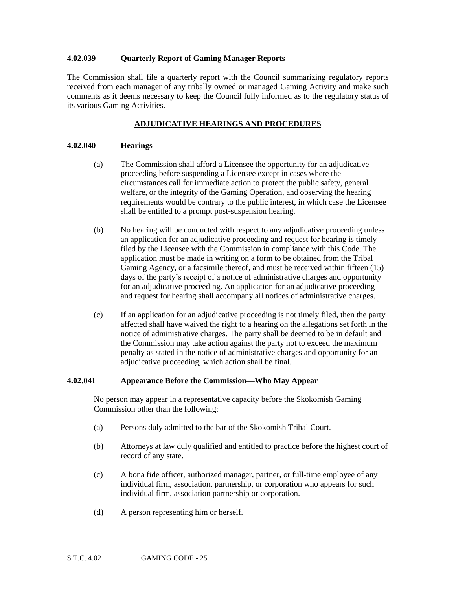#### **4.02.039 Quarterly Report of Gaming Manager Reports**

The Commission shall file a quarterly report with the Council summarizing regulatory reports received from each manager of any tribally owned or managed Gaming Activity and make such comments as it deems necessary to keep the Council fully informed as to the regulatory status of its various Gaming Activities.

# **ADJUDICATIVE HEARINGS AND PROCEDURES**

#### **4.02.040 Hearings**

- (a) The Commission shall afford a Licensee the opportunity for an adjudicative proceeding before suspending a Licensee except in cases where the circumstances call for immediate action to protect the public safety, general welfare, or the integrity of the Gaming Operation, and observing the hearing requirements would be contrary to the public interest, in which case the Licensee shall be entitled to a prompt post-suspension hearing.
- (b) No hearing will be conducted with respect to any adjudicative proceeding unless an application for an adjudicative proceeding and request for hearing is timely filed by the Licensee with the Commission in compliance with this Code. The application must be made in writing on a form to be obtained from the Tribal Gaming Agency, or a facsimile thereof, and must be received within fifteen (15) days of the party's receipt of a notice of administrative charges and opportunity for an adjudicative proceeding. An application for an adjudicative proceeding and request for hearing shall accompany all notices of administrative charges.
- (c) If an application for an adjudicative proceeding is not timely filed, then the party affected shall have waived the right to a hearing on the allegations set forth in the notice of administrative charges. The party shall be deemed to be in default and the Commission may take action against the party not to exceed the maximum penalty as stated in the notice of administrative charges and opportunity for an adjudicative proceeding, which action shall be final.

# **4.02.041 Appearance Before the Commission—Who May Appear**

No person may appear in a representative capacity before the Skokomish Gaming Commission other than the following:

- (a) Persons duly admitted to the bar of the Skokomish Tribal Court.
- (b) Attorneys at law duly qualified and entitled to practice before the highest court of record of any state.
- (c) A bona fide officer, authorized manager, partner, or full-time employee of any individual firm, association, partnership, or corporation who appears for such individual firm, association partnership or corporation.
- (d) A person representing him or herself.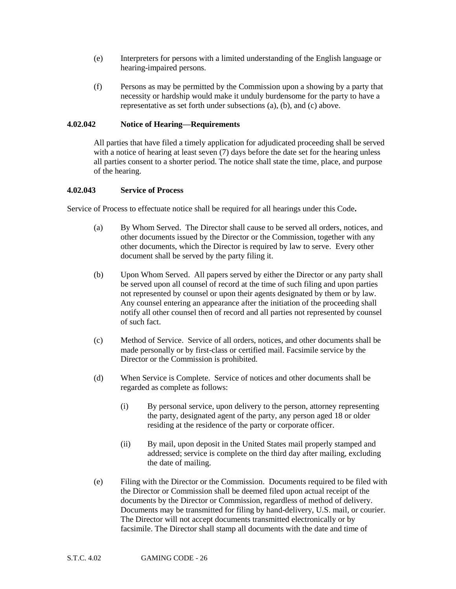- (e) Interpreters for persons with a limited understanding of the English language or hearing-impaired persons.
- (f) Persons as may be permitted by the Commission upon a showing by a party that necessity or hardship would make it unduly burdensome for the party to have a representative as set forth under subsections (a), (b), and (c) above.

## **4.02.042 Notice of Hearing—Requirements**

All parties that have filed a timely application for adjudicated proceeding shall be served with a notice of hearing at least seven (7) days before the date set for the hearing unless all parties consent to a shorter period. The notice shall state the time, place, and purpose of the hearing.

## **4.02.043 Service of Process**

Service of Process to effectuate notice shall be required for all hearings under this Code**.** 

- (a) By Whom Served. The Director shall cause to be served all orders, notices, and other documents issued by the Director or the Commission, together with any other documents, which the Director is required by law to serve. Every other document shall be served by the party filing it.
- (b) Upon Whom Served. All papers served by either the Director or any party shall be served upon all counsel of record at the time of such filing and upon parties not represented by counsel or upon their agents designated by them or by law. Any counsel entering an appearance after the initiation of the proceeding shall notify all other counsel then of record and all parties not represented by counsel of such fact.
- (c) Method of Service. Service of all orders, notices, and other documents shall be made personally or by first-class or certified mail. Facsimile service by the Director or the Commission is prohibited.
- (d) When Service is Complete. Service of notices and other documents shall be regarded as complete as follows:
	- (i) By personal service, upon delivery to the person, attorney representing the party, designated agent of the party, any person aged 18 or older residing at the residence of the party or corporate officer.
	- (ii) By mail, upon deposit in the United States mail properly stamped and addressed; service is complete on the third day after mailing, excluding the date of mailing.
- (e) Filing with the Director or the Commission. Documents required to be filed with the Director or Commission shall be deemed filed upon actual receipt of the documents by the Director or Commission, regardless of method of delivery. Documents may be transmitted for filing by hand-delivery, U.S. mail, or courier. The Director will not accept documents transmitted electronically or by facsimile. The Director shall stamp all documents with the date and time of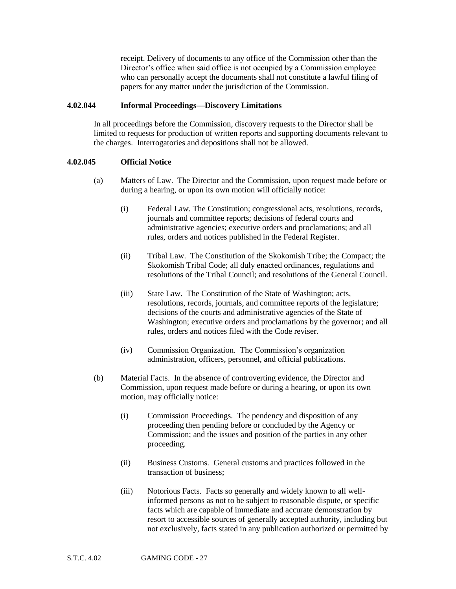receipt. Delivery of documents to any office of the Commission other than the Director's office when said office is not occupied by a Commission employee who can personally accept the documents shall not constitute a lawful filing of papers for any matter under the jurisdiction of the Commission.

#### **4.02.044 Informal Proceedings—Discovery Limitations**

In all proceedings before the Commission, discovery requests to the Director shall be limited to requests for production of written reports and supporting documents relevant to the charges. Interrogatories and depositions shall not be allowed.

#### **4.02.045 Official Notice**

- (a) Matters of Law. The Director and the Commission, upon request made before or during a hearing, or upon its own motion will officially notice:
	- (i) Federal Law. The Constitution; congressional acts, resolutions, records, journals and committee reports; decisions of federal courts and administrative agencies; executive orders and proclamations; and all rules, orders and notices published in the Federal Register.
	- (ii) Tribal Law. The Constitution of the Skokomish Tribe; the Compact; the Skokomish Tribal Code; all duly enacted ordinances, regulations and resolutions of the Tribal Council; and resolutions of the General Council.
	- (iii) State Law. The Constitution of the State of Washington; acts, resolutions, records, journals, and committee reports of the legislature; decisions of the courts and administrative agencies of the State of Washington; executive orders and proclamations by the governor; and all rules, orders and notices filed with the Code reviser.
	- (iv) Commission Organization. The Commission's organization administration, officers, personnel, and official publications.
- (b) Material Facts. In the absence of controverting evidence, the Director and Commission, upon request made before or during a hearing, or upon its own motion, may officially notice:
	- (i) Commission Proceedings. The pendency and disposition of any proceeding then pending before or concluded by the Agency or Commission; and the issues and position of the parties in any other proceeding.
	- (ii) Business Customs. General customs and practices followed in the transaction of business;
	- (iii) Notorious Facts. Facts so generally and widely known to all wellinformed persons as not to be subject to reasonable dispute, or specific facts which are capable of immediate and accurate demonstration by resort to accessible sources of generally accepted authority, including but not exclusively, facts stated in any publication authorized or permitted by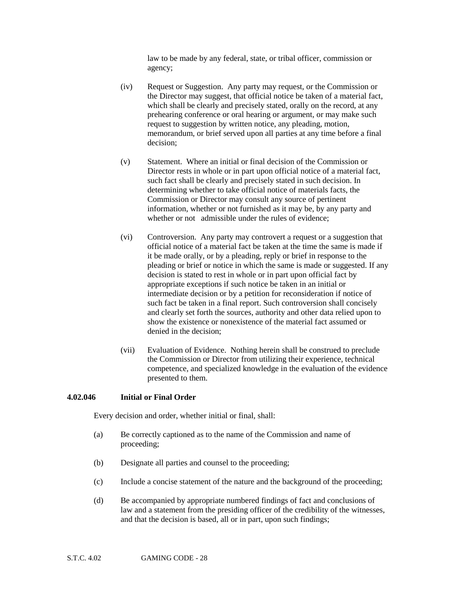law to be made by any federal, state, or tribal officer, commission or agency;

- (iv) Request or Suggestion. Any party may request, or the Commission or the Director may suggest, that official notice be taken of a material fact, which shall be clearly and precisely stated, orally on the record, at any prehearing conference or oral hearing or argument, or may make such request to suggestion by written notice, any pleading, motion, memorandum, or brief served upon all parties at any time before a final decision;
- (v) Statement. Where an initial or final decision of the Commission or Director rests in whole or in part upon official notice of a material fact, such fact shall be clearly and precisely stated in such decision. In determining whether to take official notice of materials facts, the Commission or Director may consult any source of pertinent information, whether or not furnished as it may be, by any party and whether or not admissible under the rules of evidence:
- (vi) Controversion. Any party may controvert a request or a suggestion that official notice of a material fact be taken at the time the same is made if it be made orally, or by a pleading, reply or brief in response to the pleading or brief or notice in which the same is made or suggested. If any decision is stated to rest in whole or in part upon official fact by appropriate exceptions if such notice be taken in an initial or intermediate decision or by a petition for reconsideration if notice of such fact be taken in a final report. Such controversion shall concisely and clearly set forth the sources, authority and other data relied upon to show the existence or nonexistence of the material fact assumed or denied in the decision;
- (vii) Evaluation of Evidence. Nothing herein shall be construed to preclude the Commission or Director from utilizing their experience, technical competence, and specialized knowledge in the evaluation of the evidence presented to them.

#### **4.02.046 Initial or Final Order**

Every decision and order, whether initial or final, shall:

- (a) Be correctly captioned as to the name of the Commission and name of proceeding;
- (b) Designate all parties and counsel to the proceeding;
- (c) Include a concise statement of the nature and the background of the proceeding;
- (d) Be accompanied by appropriate numbered findings of fact and conclusions of law and a statement from the presiding officer of the credibility of the witnesses, and that the decision is based, all or in part, upon such findings;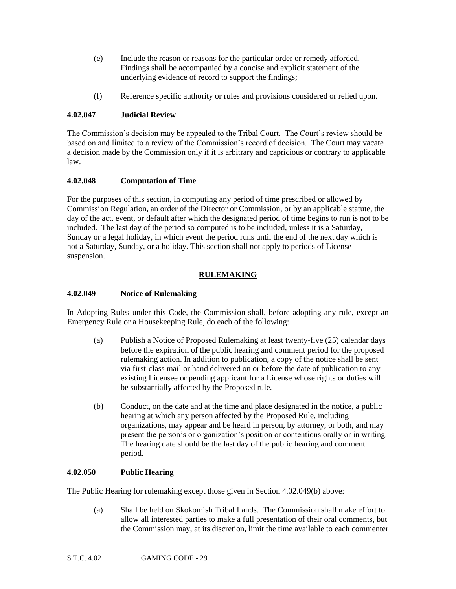- (e) Include the reason or reasons for the particular order or remedy afforded. Findings shall be accompanied by a concise and explicit statement of the underlying evidence of record to support the findings;
- (f) Reference specific authority or rules and provisions considered or relied upon.

# **4.02.047 Judicial Review**

The Commission's decision may be appealed to the Tribal Court. The Court's review should be based on and limited to a review of the Commission's record of decision. The Court may vacate a decision made by the Commission only if it is arbitrary and capricious or contrary to applicable law.

# **4.02.048 Computation of Time**

For the purposes of this section, in computing any period of time prescribed or allowed by Commission Regulation, an order of the Director or Commission, or by an applicable statute, the day of the act, event, or default after which the designated period of time begins to run is not to be included. The last day of the period so computed is to be included, unless it is a Saturday, Sunday or a legal holiday, in which event the period runs until the end of the next day which is not a Saturday, Sunday, or a holiday. This section shall not apply to periods of License suspension.

# **RULEMAKING**

# **4.02.049 Notice of Rulemaking**

In Adopting Rules under this Code, the Commission shall, before adopting any rule, except an Emergency Rule or a Housekeeping Rule, do each of the following:

- (a) Publish a Notice of Proposed Rulemaking at least twenty-five (25) calendar days before the expiration of the public hearing and comment period for the proposed rulemaking action. In addition to publication, a copy of the notice shall be sent via first-class mail or hand delivered on or before the date of publication to any existing Licensee or pending applicant for a License whose rights or duties will be substantially affected by the Proposed rule.
- (b) Conduct, on the date and at the time and place designated in the notice, a public hearing at which any person affected by the Proposed Rule, including organizations, may appear and be heard in person, by attorney, or both, and may present the person's or organization's position or contentions orally or in writing. The hearing date should be the last day of the public hearing and comment period.

# **4.02.050 Public Hearing**

The Public Hearing for rulemaking except those given in Section 4.02.049(b) above:

(a) Shall be held on Skokomish Tribal Lands. The Commission shall make effort to allow all interested parties to make a full presentation of their oral comments, but the Commission may, at its discretion, limit the time available to each commenter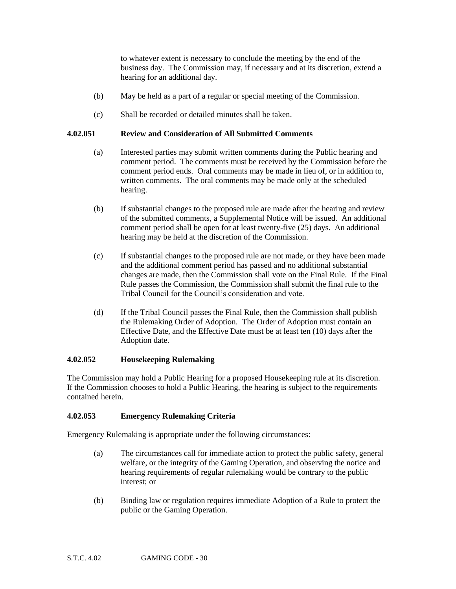to whatever extent is necessary to conclude the meeting by the end of the business day. The Commission may, if necessary and at its discretion, extend a hearing for an additional day.

- (b) May be held as a part of a regular or special meeting of the Commission.
- (c) Shall be recorded or detailed minutes shall be taken.

#### **4.02.051 Review and Consideration of All Submitted Comments**

- (a) Interested parties may submit written comments during the Public hearing and comment period. The comments must be received by the Commission before the comment period ends. Oral comments may be made in lieu of, or in addition to, written comments. The oral comments may be made only at the scheduled hearing.
- (b) If substantial changes to the proposed rule are made after the hearing and review of the submitted comments, a Supplemental Notice will be issued. An additional comment period shall be open for at least twenty-five (25) days. An additional hearing may be held at the discretion of the Commission.
- (c) If substantial changes to the proposed rule are not made, or they have been made and the additional comment period has passed and no additional substantial changes are made, then the Commission shall vote on the Final Rule. If the Final Rule passes the Commission, the Commission shall submit the final rule to the Tribal Council for the Council's consideration and vote.
- (d) If the Tribal Council passes the Final Rule, then the Commission shall publish the Rulemaking Order of Adoption. The Order of Adoption must contain an Effective Date, and the Effective Date must be at least ten (10) days after the Adoption date.

## **4.02.052 Housekeeping Rulemaking**

The Commission may hold a Public Hearing for a proposed Housekeeping rule at its discretion. If the Commission chooses to hold a Public Hearing, the hearing is subject to the requirements contained herein.

## **4.02.053 Emergency Rulemaking Criteria**

Emergency Rulemaking is appropriate under the following circumstances:

- (a) The circumstances call for immediate action to protect the public safety, general welfare, or the integrity of the Gaming Operation, and observing the notice and hearing requirements of regular rulemaking would be contrary to the public interest; or
- (b) Binding law or regulation requires immediate Adoption of a Rule to protect the public or the Gaming Operation.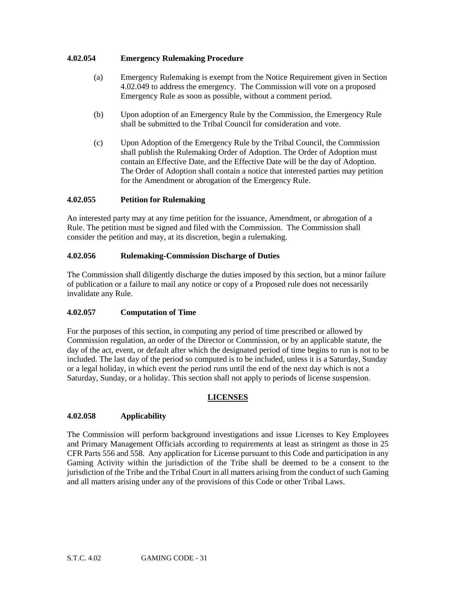## **4.02.054 Emergency Rulemaking Procedure**

- (a) Emergency Rulemaking is exempt from the Notice Requirement given in Section 4.02.049 to address the emergency. The Commission will vote on a proposed Emergency Rule as soon as possible, without a comment period.
- (b) Upon adoption of an Emergency Rule by the Commission, the Emergency Rule shall be submitted to the Tribal Council for consideration and vote.
- (c) Upon Adoption of the Emergency Rule by the Tribal Council, the Commission shall publish the Rulemaking Order of Adoption. The Order of Adoption must contain an Effective Date, and the Effective Date will be the day of Adoption. The Order of Adoption shall contain a notice that interested parties may petition for the Amendment or abrogation of the Emergency Rule.

## **4.02.055 Petition for Rulemaking**

An interested party may at any time petition for the issuance, Amendment, or abrogation of a Rule. The petition must be signed and filed with the Commission. The Commission shall consider the petition and may, at its discretion, begin a rulemaking.

## **4.02.056 Rulemaking-Commission Discharge of Duties**

The Commission shall diligently discharge the duties imposed by this section, but a minor failure of publication or a failure to mail any notice or copy of a Proposed rule does not necessarily invalidate any Rule.

## **4.02.057 Computation of Time**

For the purposes of this section, in computing any period of time prescribed or allowed by Commission regulation, an order of the Director or Commission, or by an applicable statute, the day of the act, event, or default after which the designated period of time begins to run is not to be included. The last day of the period so computed is to be included, unless it is a Saturday, Sunday or a legal holiday, in which event the period runs until the end of the next day which is not a Saturday, Sunday, or a holiday. This section shall not apply to periods of license suspension.

#### **LICENSES**

## **4.02.058 Applicability**

The Commission will perform background investigations and issue Licenses to Key Employees and Primary Management Officials according to requirements at least as stringent as those in 25 CFR Parts 556 and 558. Any application for License pursuant to this Code and participation in any Gaming Activity within the jurisdiction of the Tribe shall be deemed to be a consent to the jurisdiction of the Tribe and the Tribal Court in all matters arising from the conduct of such Gaming and all matters arising under any of the provisions of this Code or other Tribal Laws.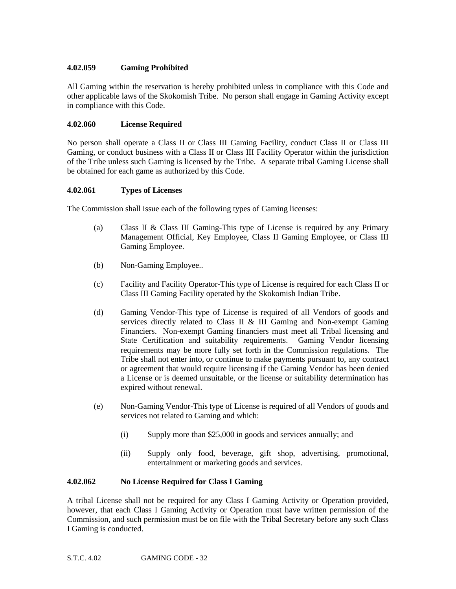# **4.02.059 Gaming Prohibited**

All Gaming within the reservation is hereby prohibited unless in compliance with this Code and other applicable laws of the Skokomish Tribe. No person shall engage in Gaming Activity except in compliance with this Code.

# **4.02.060 License Required**

No person shall operate a Class II or Class III Gaming Facility, conduct Class II or Class III Gaming, or conduct business with a Class II or Class III Facility Operator within the jurisdiction of the Tribe unless such Gaming is licensed by the Tribe. A separate tribal Gaming License shall be obtained for each game as authorized by this Code.

# **4.02.061 Types of Licenses**

The Commission shall issue each of the following types of Gaming licenses:

- (a) Class II & Class III Gaming-This type of License is required by any Primary Management Official, Key Employee, Class II Gaming Employee, or Class III Gaming Employee.
- (b) Non-Gaming Employee..
- (c) Facility and Facility Operator-This type of License is required for each Class II or Class III Gaming Facility operated by the Skokomish Indian Tribe.
- (d) Gaming Vendor-This type of License is required of all Vendors of goods and services directly related to Class II & III Gaming and Non-exempt Gaming Financiers. Non-exempt Gaming financiers must meet all Tribal licensing and State Certification and suitability requirements. Gaming Vendor licensing requirements may be more fully set forth in the Commission regulations. The Tribe shall not enter into, or continue to make payments pursuant to, any contract or agreement that would require licensing if the Gaming Vendor has been denied a License or is deemed unsuitable, or the license or suitability determination has expired without renewal.
- (e) Non-Gaming Vendor-This type of License is required of all Vendors of goods and services not related to Gaming and which:
	- (i) Supply more than \$25,000 in goods and services annually; and
	- (ii) Supply only food, beverage, gift shop, advertising, promotional, entertainment or marketing goods and services.

## **4.02.062 No License Required for Class I Gaming**

A tribal License shall not be required for any Class I Gaming Activity or Operation provided, however, that each Class I Gaming Activity or Operation must have written permission of the Commission, and such permission must be on file with the Tribal Secretary before any such Class I Gaming is conducted.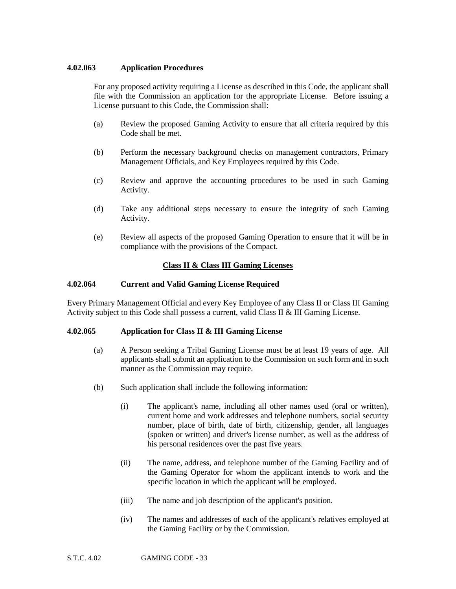# **4.02.063 Application Procedures**

For any proposed activity requiring a License as described in this Code, the applicant shall file with the Commission an application for the appropriate License. Before issuing a License pursuant to this Code, the Commission shall:

- (a) Review the proposed Gaming Activity to ensure that all criteria required by this Code shall be met.
- (b) Perform the necessary background checks on management contractors, Primary Management Officials, and Key Employees required by this Code.
- (c) Review and approve the accounting procedures to be used in such Gaming Activity.
- (d) Take any additional steps necessary to ensure the integrity of such Gaming Activity.
- (e) Review all aspects of the proposed Gaming Operation to ensure that it will be in compliance with the provisions of the Compact.

# **Class II & Class III Gaming Licenses**

## **4.02.064 Current and Valid Gaming License Required**

Every Primary Management Official and every Key Employee of any Class II or Class III Gaming Activity subject to this Code shall possess a current, valid Class II & III Gaming License.

## **4.02.065 Application for Class II & III Gaming License**

- (a) A Person seeking a Tribal Gaming License must be at least 19 years of age. All applicants shall submit an application to the Commission on such form and in such manner as the Commission may require.
- (b) Such application shall include the following information:
	- (i) The applicant's name, including all other names used (oral or written), current home and work addresses and telephone numbers, social security number, place of birth, date of birth, citizenship, gender, all languages (spoken or written) and driver's license number, as well as the address of his personal residences over the past five years.
	- (ii) The name, address, and telephone number of the Gaming Facility and of the Gaming Operator for whom the applicant intends to work and the specific location in which the applicant will be employed.
	- (iii) The name and job description of the applicant's position.
	- (iv) The names and addresses of each of the applicant's relatives employed at the Gaming Facility or by the Commission.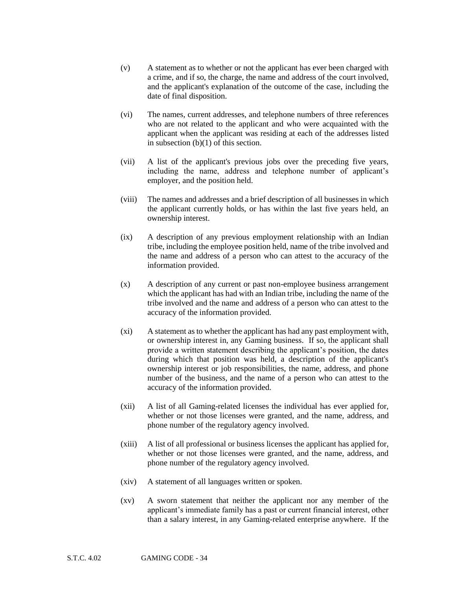- (v) A statement as to whether or not the applicant has ever been charged with a crime, and if so, the charge, the name and address of the court involved, and the applicant's explanation of the outcome of the case, including the date of final disposition.
- (vi) The names, current addresses, and telephone numbers of three references who are not related to the applicant and who were acquainted with the applicant when the applicant was residing at each of the addresses listed in subsection (b)(1) of this section.
- (vii) A list of the applicant's previous jobs over the preceding five years, including the name, address and telephone number of applicant's employer, and the position held.
- (viii) The names and addresses and a brief description of all businesses in which the applicant currently holds, or has within the last five years held, an ownership interest.
- (ix) A description of any previous employment relationship with an Indian tribe, including the employee position held, name of the tribe involved and the name and address of a person who can attest to the accuracy of the information provided.
- (x) A description of any current or past non-employee business arrangement which the applicant has had with an Indian tribe, including the name of the tribe involved and the name and address of a person who can attest to the accuracy of the information provided.
- (xi) A statement as to whether the applicant has had any past employment with, or ownership interest in, any Gaming business. If so, the applicant shall provide a written statement describing the applicant's position, the dates during which that position was held, a description of the applicant's ownership interest or job responsibilities, the name, address, and phone number of the business, and the name of a person who can attest to the accuracy of the information provided.
- (xii) A list of all Gaming-related licenses the individual has ever applied for, whether or not those licenses were granted, and the name, address, and phone number of the regulatory agency involved.
- (xiii) A list of all professional or business licenses the applicant has applied for, whether or not those licenses were granted, and the name, address, and phone number of the regulatory agency involved.
- (xiv) A statement of all languages written or spoken.
- (xv) A sworn statement that neither the applicant nor any member of the applicant's immediate family has a past or current financial interest, other than a salary interest, in any Gaming-related enterprise anywhere. If the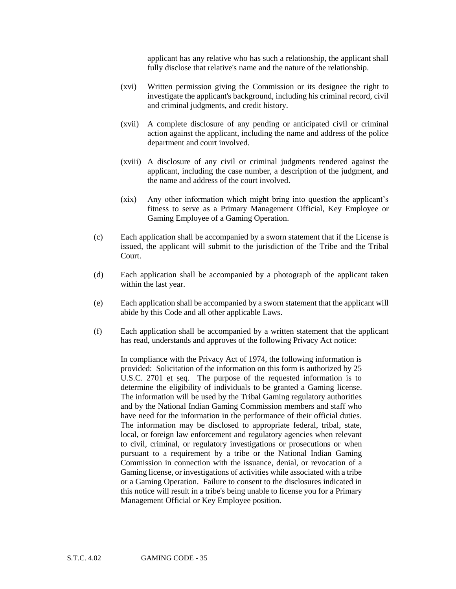applicant has any relative who has such a relationship, the applicant shall fully disclose that relative's name and the nature of the relationship.

- (xvi) Written permission giving the Commission or its designee the right to investigate the applicant's background, including his criminal record, civil and criminal judgments, and credit history.
- (xvii) A complete disclosure of any pending or anticipated civil or criminal action against the applicant, including the name and address of the police department and court involved.
- (xviii) A disclosure of any civil or criminal judgments rendered against the applicant, including the case number, a description of the judgment, and the name and address of the court involved.
- (xix) Any other information which might bring into question the applicant's fitness to serve as a Primary Management Official, Key Employee or Gaming Employee of a Gaming Operation.
- (c) Each application shall be accompanied by a sworn statement that if the License is issued, the applicant will submit to the jurisdiction of the Tribe and the Tribal Court.
- (d) Each application shall be accompanied by a photograph of the applicant taken within the last year.
- (e) Each application shall be accompanied by a sworn statement that the applicant will abide by this Code and all other applicable Laws.
- (f) Each application shall be accompanied by a written statement that the applicant has read, understands and approves of the following Privacy Act notice:

In compliance with the Privacy Act of 1974, the following information is provided: Solicitation of the information on this form is authorized by 25 U.S.C. 2701 et seq. The purpose of the requested information is to determine the eligibility of individuals to be granted a Gaming license. The information will be used by the Tribal Gaming regulatory authorities and by the National Indian Gaming Commission members and staff who have need for the information in the performance of their official duties. The information may be disclosed to appropriate federal, tribal, state, local, or foreign law enforcement and regulatory agencies when relevant to civil, criminal, or regulatory investigations or prosecutions or when pursuant to a requirement by a tribe or the National Indian Gaming Commission in connection with the issuance, denial, or revocation of a Gaming license, or investigations of activities while associated with a tribe or a Gaming Operation. Failure to consent to the disclosures indicated in this notice will result in a tribe's being unable to license you for a Primary Management Official or Key Employee position.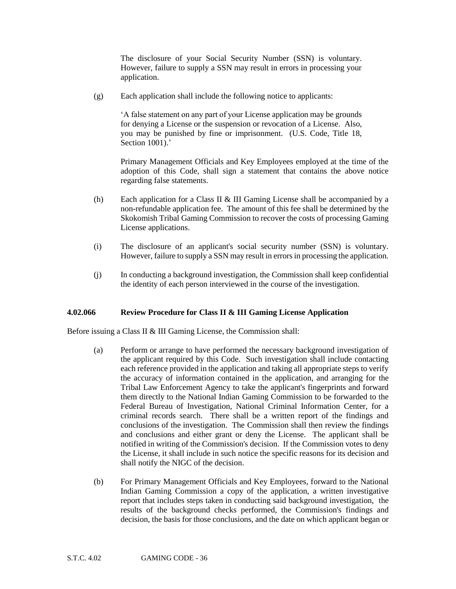The disclosure of your Social Security Number (SSN) is voluntary. However, failure to supply a SSN may result in errors in processing your application.

(g) Each application shall include the following notice to applicants:

'A false statement on any part of your License application may be grounds for denying a License or the suspension or revocation of a License. Also, you may be punished by fine or imprisonment. (U.S. Code, Title 18, Section 1001).'

Primary Management Officials and Key Employees employed at the time of the adoption of this Code, shall sign a statement that contains the above notice regarding false statements.

- (h) Each application for a Class II  $&$  III Gaming License shall be accompanied by a non-refundable application fee. The amount of this fee shall be determined by the Skokomish Tribal Gaming Commission to recover the costs of processing Gaming License applications.
- (i) The disclosure of an applicant's social security number (SSN) is voluntary. However, failure to supply a SSN may result in errors in processing the application.
- (j) In conducting a background investigation, the Commission shall keep confidential the identity of each person interviewed in the course of the investigation.

## **4.02.066 Review Procedure for Class II & III Gaming License Application**

Before issuing a Class II & III Gaming License, the Commission shall:

- (a) Perform or arrange to have performed the necessary background investigation of the applicant required by this Code. Such investigation shall include contacting each reference provided in the application and taking all appropriate steps to verify the accuracy of information contained in the application, and arranging for the Tribal Law Enforcement Agency to take the applicant's fingerprints and forward them directly to the National Indian Gaming Commission to be forwarded to the Federal Bureau of Investigation, National Criminal Information Center, for a criminal records search. There shall be a written report of the findings and conclusions of the investigation. The Commission shall then review the findings and conclusions and either grant or deny the License. The applicant shall be notified in writing of the Commission's decision. If the Commission votes to deny the License, it shall include in such notice the specific reasons for its decision and shall notify the NIGC of the decision.
- (b) For Primary Management Officials and Key Employees, forward to the National Indian Gaming Commission a copy of the application, a written investigative report that includes steps taken in conducting said background investigation, the results of the background checks performed, the Commission's findings and decision, the basis for those conclusions, and the date on which applicant began or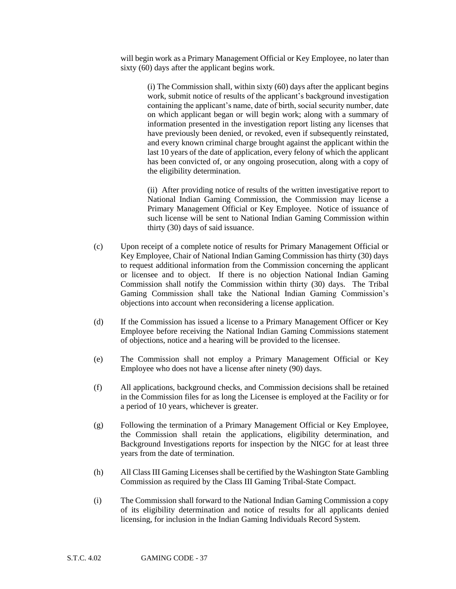will begin work as a Primary Management Official or Key Employee, no later than sixty (60) days after the applicant begins work.

> (i) The Commission shall, within sixty (60) days after the applicant begins work, submit notice of results of the applicant's background investigation containing the applicant's name, date of birth, social security number, date on which applicant began or will begin work; along with a summary of information presented in the investigation report listing any licenses that have previously been denied, or revoked, even if subsequently reinstated, and every known criminal charge brought against the applicant within the last 10 years of the date of application, every felony of which the applicant has been convicted of, or any ongoing prosecution, along with a copy of the eligibility determination.

> (ii) After providing notice of results of the written investigative report to National Indian Gaming Commission, the Commission may license a Primary Management Official or Key Employee. Notice of issuance of such license will be sent to National Indian Gaming Commission within thirty (30) days of said issuance.

- (c) Upon receipt of a complete notice of results for Primary Management Official or Key Employee, Chair of National Indian Gaming Commission has thirty (30) days to request additional information from the Commission concerning the applicant or licensee and to object. If there is no objection National Indian Gaming Commission shall notify the Commission within thirty (30) days. The Tribal Gaming Commission shall take the National Indian Gaming Commission's objections into account when reconsidering a license application.
- (d) If the Commission has issued a license to a Primary Management Officer or Key Employee before receiving the National Indian Gaming Commissions statement of objections, notice and a hearing will be provided to the licensee.
- (e) The Commission shall not employ a Primary Management Official or Key Employee who does not have a license after ninety (90) days.
- (f) All applications, background checks, and Commission decisions shall be retained in the Commission files for as long the Licensee is employed at the Facility or for a period of 10 years, whichever is greater.
- (g) Following the termination of a Primary Management Official or Key Employee, the Commission shall retain the applications, eligibility determination, and Background Investigations reports for inspection by the NIGC for at least three years from the date of termination.
- (h) All Class III Gaming Licenses shall be certified by the Washington State Gambling Commission as required by the Class III Gaming Tribal-State Compact.
- (i) The Commission shall forward to the National Indian Gaming Commission a copy of its eligibility determination and notice of results for all applicants denied licensing, for inclusion in the Indian Gaming Individuals Record System.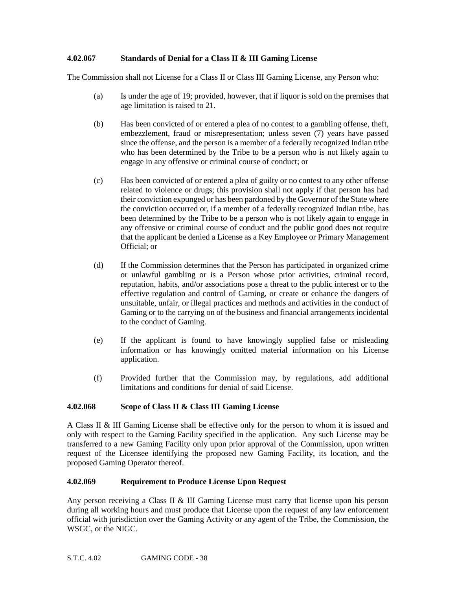## **4.02.067 Standards of Denial for a Class II & III Gaming License**

The Commission shall not License for a Class II or Class III Gaming License, any Person who:

- (a) Is under the age of 19; provided, however, that if liquor is sold on the premises that age limitation is raised to 21.
- (b) Has been convicted of or entered a plea of no contest to a gambling offense, theft, embezzlement, fraud or misrepresentation; unless seven (7) years have passed since the offense, and the person is a member of a federally recognized Indian tribe who has been determined by the Tribe to be a person who is not likely again to engage in any offensive or criminal course of conduct; or
- (c) Has been convicted of or entered a plea of guilty or no contest to any other offense related to violence or drugs; this provision shall not apply if that person has had their conviction expunged or has been pardoned by the Governor of the State where the conviction occurred or, if a member of a federally recognized Indian tribe, has been determined by the Tribe to be a person who is not likely again to engage in any offensive or criminal course of conduct and the public good does not require that the applicant be denied a License as a Key Employee or Primary Management Official; or
- (d) If the Commission determines that the Person has participated in organized crime or unlawful gambling or is a Person whose prior activities, criminal record, reputation, habits, and/or associations pose a threat to the public interest or to the effective regulation and control of Gaming, or create or enhance the dangers of unsuitable, unfair, or illegal practices and methods and activities in the conduct of Gaming or to the carrying on of the business and financial arrangements incidental to the conduct of Gaming.
- (e) If the applicant is found to have knowingly supplied false or misleading information or has knowingly omitted material information on his License application.
- (f) Provided further that the Commission may, by regulations, add additional limitations and conditions for denial of said License.

## **4.02.068 Scope of Class II & Class III Gaming License**

A Class II & III Gaming License shall be effective only for the person to whom it is issued and only with respect to the Gaming Facility specified in the application. Any such License may be transferred to a new Gaming Facility only upon prior approval of the Commission, upon written request of the Licensee identifying the proposed new Gaming Facility, its location, and the proposed Gaming Operator thereof.

#### **4.02.069 Requirement to Produce License Upon Request**

Any person receiving a Class II & III Gaming License must carry that license upon his person during all working hours and must produce that License upon the request of any law enforcement official with jurisdiction over the Gaming Activity or any agent of the Tribe, the Commission, the WSGC, or the NIGC.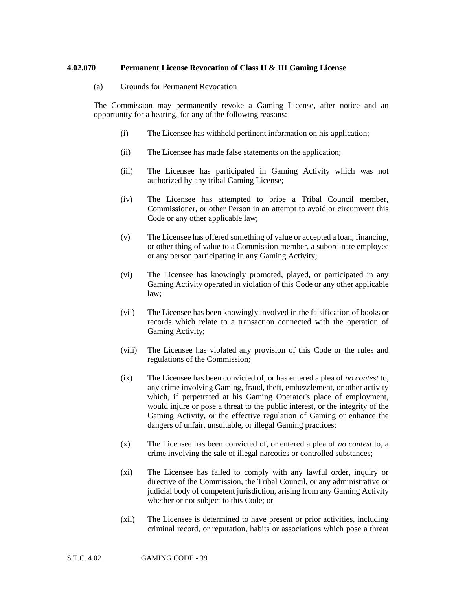#### **4.02.070 Permanent License Revocation of Class II & III Gaming License**

(a) Grounds for Permanent Revocation

The Commission may permanently revoke a Gaming License, after notice and an opportunity for a hearing, for any of the following reasons:

- (i) The Licensee has withheld pertinent information on his application;
- (ii) The Licensee has made false statements on the application;
- (iii) The Licensee has participated in Gaming Activity which was not authorized by any tribal Gaming License;
- (iv) The Licensee has attempted to bribe a Tribal Council member, Commissioner, or other Person in an attempt to avoid or circumvent this Code or any other applicable law;
- (v) The Licensee has offered something of value or accepted a loan, financing, or other thing of value to a Commission member, a subordinate employee or any person participating in any Gaming Activity;
- (vi) The Licensee has knowingly promoted, played, or participated in any Gaming Activity operated in violation of this Code or any other applicable law;
- (vii) The Licensee has been knowingly involved in the falsification of books or records which relate to a transaction connected with the operation of Gaming Activity;
- (viii) The Licensee has violated any provision of this Code or the rules and regulations of the Commission;
- (ix) The Licensee has been convicted of, or has entered a plea of *no contest* to, any crime involving Gaming, fraud, theft, embezzlement, or other activity which, if perpetrated at his Gaming Operator's place of employment, would injure or pose a threat to the public interest, or the integrity of the Gaming Activity, or the effective regulation of Gaming or enhance the dangers of unfair, unsuitable, or illegal Gaming practices;
- (x) The Licensee has been convicted of, or entered a plea of *no contest* to, a crime involving the sale of illegal narcotics or controlled substances;
- (xi) The Licensee has failed to comply with any lawful order, inquiry or directive of the Commission, the Tribal Council, or any administrative or judicial body of competent jurisdiction, arising from any Gaming Activity whether or not subject to this Code; or
- (xii) The Licensee is determined to have present or prior activities, including criminal record, or reputation, habits or associations which pose a threat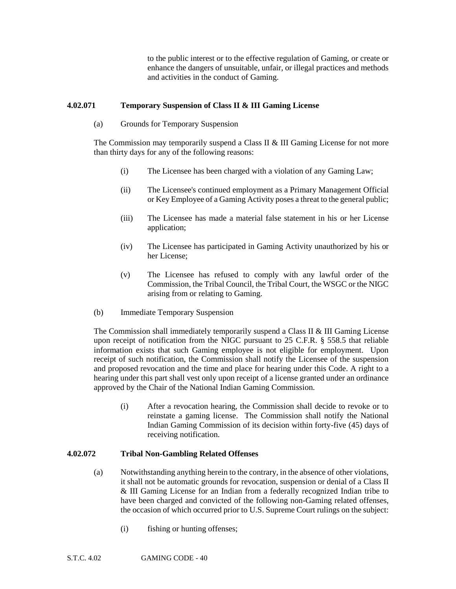to the public interest or to the effective regulation of Gaming, or create or enhance the dangers of unsuitable, unfair, or illegal practices and methods and activities in the conduct of Gaming.

## **4.02.071 Temporary Suspension of Class II & III Gaming License**

(a) Grounds for Temporary Suspension

The Commission may temporarily suspend a Class II & III Gaming License for not more than thirty days for any of the following reasons:

- (i) The Licensee has been charged with a violation of any Gaming Law;
- (ii) The Licensee's continued employment as a Primary Management Official or Key Employee of a Gaming Activity poses a threat to the general public;
- (iii) The Licensee has made a material false statement in his or her License application;
- (iv) The Licensee has participated in Gaming Activity unauthorized by his or her License;
- (v) The Licensee has refused to comply with any lawful order of the Commission, the Tribal Council, the Tribal Court, the WSGC or the NIGC arising from or relating to Gaming.
- (b) Immediate Temporary Suspension

The Commission shall immediately temporarily suspend a Class II & III Gaming License upon receipt of notification from the NIGC pursuant to 25 C.F.R. § 558.5 that reliable information exists that such Gaming employee is not eligible for employment. Upon receipt of such notification, the Commission shall notify the Licensee of the suspension and proposed revocation and the time and place for hearing under this Code. A right to a hearing under this part shall vest only upon receipt of a license granted under an ordinance approved by the Chair of the National Indian Gaming Commission.

(i) After a revocation hearing, the Commission shall decide to revoke or to reinstate a gaming license. The Commission shall notify the National Indian Gaming Commission of its decision within forty-five (45) days of receiving notification.

# **4.02.072 Tribal Non-Gambling Related Offenses**

- (a) Notwithstanding anything herein to the contrary, in the absence of other violations, it shall not be automatic grounds for revocation, suspension or denial of a Class II & III Gaming License for an Indian from a federally recognized Indian tribe to have been charged and convicted of the following non-Gaming related offenses, the occasion of which occurred prior to U.S. Supreme Court rulings on the subject:
	- (i) fishing or hunting offenses;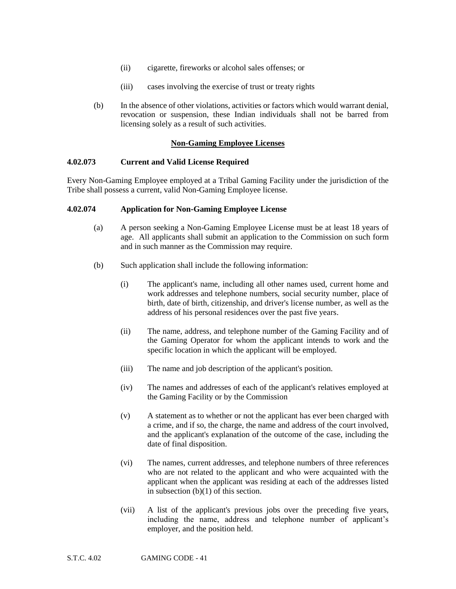- (ii) cigarette, fireworks or alcohol sales offenses; or
- (iii) cases involving the exercise of trust or treaty rights
- (b) In the absence of other violations, activities or factors which would warrant denial, revocation or suspension, these Indian individuals shall not be barred from licensing solely as a result of such activities.

## **Non-Gaming Employee Licenses**

#### **4.02.073 Current and Valid License Required**

Every Non-Gaming Employee employed at a Tribal Gaming Facility under the jurisdiction of the Tribe shall possess a current, valid Non-Gaming Employee license.

#### **4.02.074 Application for Non-Gaming Employee License**

- (a) A person seeking a Non-Gaming Employee License must be at least 18 years of age. All applicants shall submit an application to the Commission on such form and in such manner as the Commission may require.
- (b) Such application shall include the following information:
	- (i) The applicant's name, including all other names used, current home and work addresses and telephone numbers, social security number, place of birth, date of birth, citizenship, and driver's license number, as well as the address of his personal residences over the past five years.
	- (ii) The name, address, and telephone number of the Gaming Facility and of the Gaming Operator for whom the applicant intends to work and the specific location in which the applicant will be employed.
	- (iii) The name and job description of the applicant's position.
	- (iv) The names and addresses of each of the applicant's relatives employed at the Gaming Facility or by the Commission
	- (v) A statement as to whether or not the applicant has ever been charged with a crime, and if so, the charge, the name and address of the court involved, and the applicant's explanation of the outcome of the case, including the date of final disposition.
	- (vi) The names, current addresses, and telephone numbers of three references who are not related to the applicant and who were acquainted with the applicant when the applicant was residing at each of the addresses listed in subsection  $(b)(1)$  of this section.
	- (vii) A list of the applicant's previous jobs over the preceding five years, including the name, address and telephone number of applicant's employer, and the position held.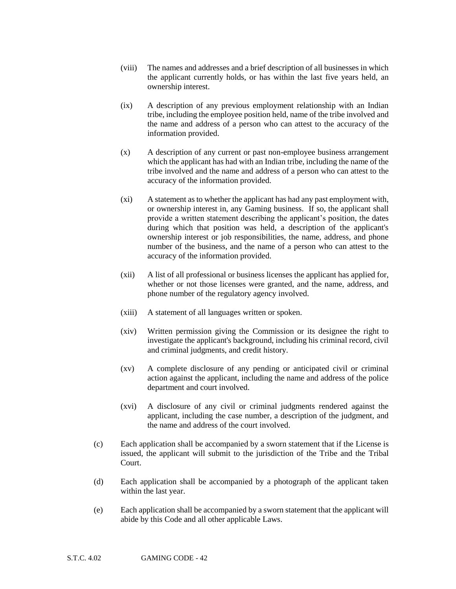- (viii) The names and addresses and a brief description of all businesses in which the applicant currently holds, or has within the last five years held, an ownership interest.
- (ix) A description of any previous employment relationship with an Indian tribe, including the employee position held, name of the tribe involved and the name and address of a person who can attest to the accuracy of the information provided.
- (x) A description of any current or past non-employee business arrangement which the applicant has had with an Indian tribe, including the name of the tribe involved and the name and address of a person who can attest to the accuracy of the information provided.
- (xi) A statement as to whether the applicant has had any past employment with, or ownership interest in, any Gaming business. If so, the applicant shall provide a written statement describing the applicant's position, the dates during which that position was held, a description of the applicant's ownership interest or job responsibilities, the name, address, and phone number of the business, and the name of a person who can attest to the accuracy of the information provided.
- (xii) A list of all professional or business licenses the applicant has applied for, whether or not those licenses were granted, and the name, address, and phone number of the regulatory agency involved.
- (xiii) A statement of all languages written or spoken.
- (xiv) Written permission giving the Commission or its designee the right to investigate the applicant's background, including his criminal record, civil and criminal judgments, and credit history.
- (xv) A complete disclosure of any pending or anticipated civil or criminal action against the applicant, including the name and address of the police department and court involved.
- (xvi) A disclosure of any civil or criminal judgments rendered against the applicant, including the case number, a description of the judgment, and the name and address of the court involved.
- (c) Each application shall be accompanied by a sworn statement that if the License is issued, the applicant will submit to the jurisdiction of the Tribe and the Tribal Court.
- (d) Each application shall be accompanied by a photograph of the applicant taken within the last year.
- (e) Each application shall be accompanied by a sworn statement that the applicant will abide by this Code and all other applicable Laws.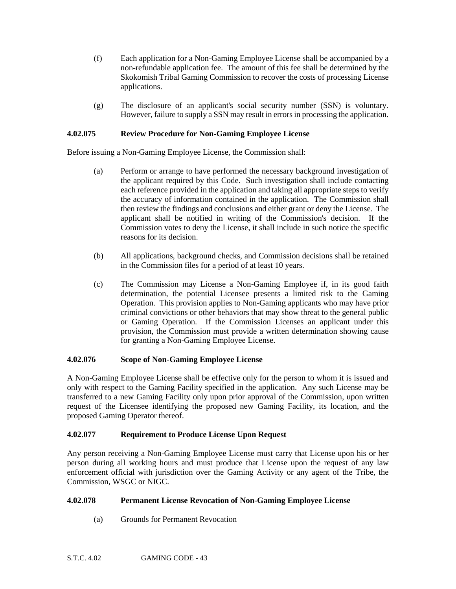- (f) Each application for a Non-Gaming Employee License shall be accompanied by a non-refundable application fee. The amount of this fee shall be determined by the Skokomish Tribal Gaming Commission to recover the costs of processing License applications.
- (g) The disclosure of an applicant's social security number (SSN) is voluntary. However, failure to supply a SSN may result in errors in processing the application.

## **4.02.075 Review Procedure for Non-Gaming Employee License**

Before issuing a Non-Gaming Employee License, the Commission shall:

- (a) Perform or arrange to have performed the necessary background investigation of the applicant required by this Code. Such investigation shall include contacting each reference provided in the application and taking all appropriate steps to verify the accuracy of information contained in the application. The Commission shall then review the findings and conclusions and either grant or deny the License. The applicant shall be notified in writing of the Commission's decision. If the Commission votes to deny the License, it shall include in such notice the specific reasons for its decision.
- (b) All applications, background checks, and Commission decisions shall be retained in the Commission files for a period of at least 10 years.
- (c) The Commission may License a Non-Gaming Employee if, in its good faith determination, the potential Licensee presents a limited risk to the Gaming Operation. This provision applies to Non-Gaming applicants who may have prior criminal convictions or other behaviors that may show threat to the general public or Gaming Operation. If the Commission Licenses an applicant under this provision, the Commission must provide a written determination showing cause for granting a Non-Gaming Employee License.

## **4.02.076 Scope of Non-Gaming Employee License**

A Non-Gaming Employee License shall be effective only for the person to whom it is issued and only with respect to the Gaming Facility specified in the application. Any such License may be transferred to a new Gaming Facility only upon prior approval of the Commission, upon written request of the Licensee identifying the proposed new Gaming Facility, its location, and the proposed Gaming Operator thereof.

## **4.02.077 Requirement to Produce License Upon Request**

Any person receiving a Non-Gaming Employee License must carry that License upon his or her person during all working hours and must produce that License upon the request of any law enforcement official with jurisdiction over the Gaming Activity or any agent of the Tribe, the Commission, WSGC or NIGC.

## **4.02.078 Permanent License Revocation of Non-Gaming Employee License**

(a) Grounds for Permanent Revocation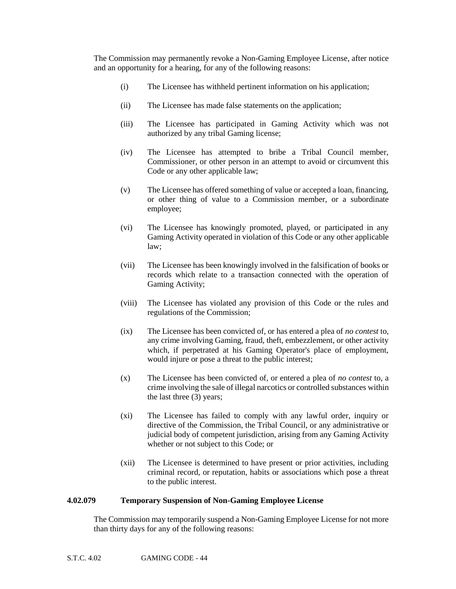The Commission may permanently revoke a Non-Gaming Employee License, after notice and an opportunity for a hearing, for any of the following reasons:

- (i) The Licensee has withheld pertinent information on his application;
- (ii) The Licensee has made false statements on the application;
- (iii) The Licensee has participated in Gaming Activity which was not authorized by any tribal Gaming license;
- (iv) The Licensee has attempted to bribe a Tribal Council member, Commissioner, or other person in an attempt to avoid or circumvent this Code or any other applicable law;
- (v) The Licensee has offered something of value or accepted a loan, financing, or other thing of value to a Commission member, or a subordinate employee;
- (vi) The Licensee has knowingly promoted, played, or participated in any Gaming Activity operated in violation of this Code or any other applicable law;
- (vii) The Licensee has been knowingly involved in the falsification of books or records which relate to a transaction connected with the operation of Gaming Activity;
- (viii) The Licensee has violated any provision of this Code or the rules and regulations of the Commission;
- (ix) The Licensee has been convicted of, or has entered a plea of *no contest* to, any crime involving Gaming, fraud, theft, embezzlement, or other activity which, if perpetrated at his Gaming Operator's place of employment, would injure or pose a threat to the public interest;
- (x) The Licensee has been convicted of, or entered a plea of *no contest* to, a crime involving the sale of illegal narcotics or controlled substances within the last three (3) years;
- (xi) The Licensee has failed to comply with any lawful order, inquiry or directive of the Commission, the Tribal Council, or any administrative or judicial body of competent jurisdiction, arising from any Gaming Activity whether or not subject to this Code; or
- (xii) The Licensee is determined to have present or prior activities, including criminal record, or reputation, habits or associations which pose a threat to the public interest.

# **4.02.079 Temporary Suspension of Non-Gaming Employee License**

The Commission may temporarily suspend a Non-Gaming Employee License for not more than thirty days for any of the following reasons: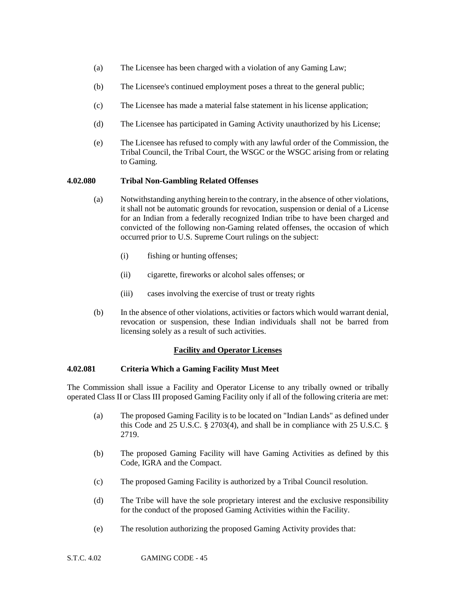- (a) The Licensee has been charged with a violation of any Gaming Law;
- (b) The Licensee's continued employment poses a threat to the general public;
- (c) The Licensee has made a material false statement in his license application;
- (d) The Licensee has participated in Gaming Activity unauthorized by his License;
- (e) The Licensee has refused to comply with any lawful order of the Commission, the Tribal Council, the Tribal Court, the WSGC or the WSGC arising from or relating to Gaming.

#### **4.02.080 Tribal Non-Gambling Related Offenses**

- (a) Notwithstanding anything herein to the contrary, in the absence of other violations, it shall not be automatic grounds for revocation, suspension or denial of a License for an Indian from a federally recognized Indian tribe to have been charged and convicted of the following non-Gaming related offenses, the occasion of which occurred prior to U.S. Supreme Court rulings on the subject:
	- (i) fishing or hunting offenses;
	- (ii) cigarette, fireworks or alcohol sales offenses; or
	- (iii) cases involving the exercise of trust or treaty rights
- (b) In the absence of other violations, activities or factors which would warrant denial, revocation or suspension, these Indian individuals shall not be barred from licensing solely as a result of such activities.

## **Facility and Operator Licenses**

#### **4.02.081 Criteria Which a Gaming Facility Must Meet**

The Commission shall issue a Facility and Operator License to any tribally owned or tribally operated Class II or Class III proposed Gaming Facility only if all of the following criteria are met:

- (a) The proposed Gaming Facility is to be located on "Indian Lands" as defined under this Code and 25 U.S.C. § 2703(4), and shall be in compliance with 25 U.S.C. § 2719.
- (b) The proposed Gaming Facility will have Gaming Activities as defined by this Code, IGRA and the Compact.
- (c) The proposed Gaming Facility is authorized by a Tribal Council resolution.
- (d) The Tribe will have the sole proprietary interest and the exclusive responsibility for the conduct of the proposed Gaming Activities within the Facility.
- (e) The resolution authorizing the proposed Gaming Activity provides that: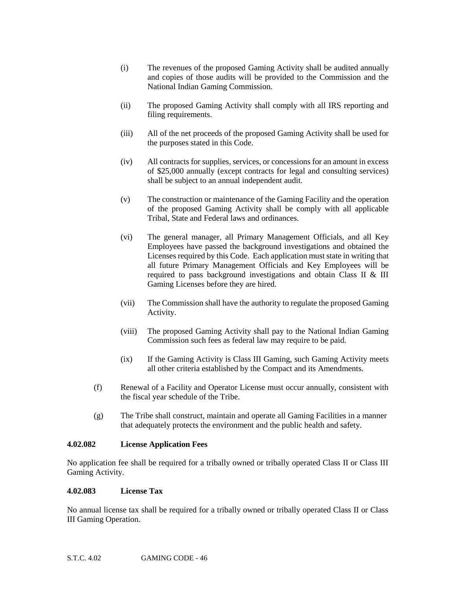- (i) The revenues of the proposed Gaming Activity shall be audited annually and copies of those audits will be provided to the Commission and the National Indian Gaming Commission.
- (ii) The proposed Gaming Activity shall comply with all IRS reporting and filing requirements.
- (iii) All of the net proceeds of the proposed Gaming Activity shall be used for the purposes stated in this Code.
- (iv) All contracts for supplies, services, or concessions for an amount in excess of \$25,000 annually (except contracts for legal and consulting services) shall be subject to an annual independent audit.
- (v) The construction or maintenance of the Gaming Facility and the operation of the proposed Gaming Activity shall be comply with all applicable Tribal, State and Federal laws and ordinances.
- (vi) The general manager, all Primary Management Officials, and all Key Employees have passed the background investigations and obtained the Licenses required by this Code. Each application must state in writing that all future Primary Management Officials and Key Employees will be required to pass background investigations and obtain Class II & III Gaming Licenses before they are hired.
- (vii) The Commission shall have the authority to regulate the proposed Gaming Activity.
- (viii) The proposed Gaming Activity shall pay to the National Indian Gaming Commission such fees as federal law may require to be paid.
- (ix) If the Gaming Activity is Class III Gaming, such Gaming Activity meets all other criteria established by the Compact and its Amendments.
- (f) Renewal of a Facility and Operator License must occur annually, consistent with the fiscal year schedule of the Tribe.
- (g) The Tribe shall construct, maintain and operate all Gaming Facilities in a manner that adequately protects the environment and the public health and safety.

## **4.02.082 License Application Fees**

No application fee shall be required for a tribally owned or tribally operated Class II or Class III Gaming Activity.

#### **4.02.083 License Tax**

No annual license tax shall be required for a tribally owned or tribally operated Class II or Class III Gaming Operation.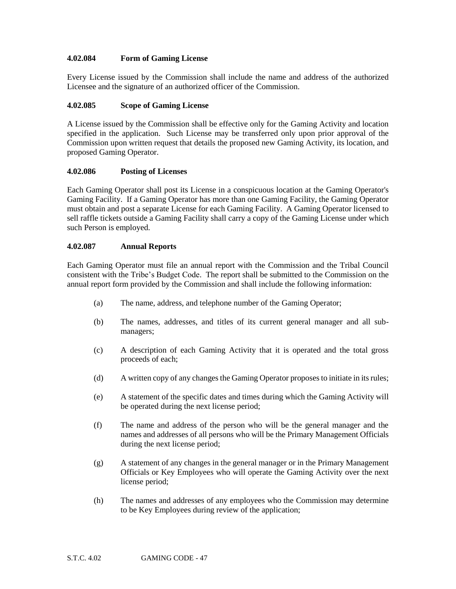## **4.02.084 Form of Gaming License**

Every License issued by the Commission shall include the name and address of the authorized Licensee and the signature of an authorized officer of the Commission.

# **4.02.085 Scope of Gaming License**

A License issued by the Commission shall be effective only for the Gaming Activity and location specified in the application. Such License may be transferred only upon prior approval of the Commission upon written request that details the proposed new Gaming Activity, its location, and proposed Gaming Operator.

## **4.02.086 Posting of Licenses**

Each Gaming Operator shall post its License in a conspicuous location at the Gaming Operator's Gaming Facility. If a Gaming Operator has more than one Gaming Facility, the Gaming Operator must obtain and post a separate License for each Gaming Facility. A Gaming Operator licensed to sell raffle tickets outside a Gaming Facility shall carry a copy of the Gaming License under which such Person is employed.

#### **4.02.087 Annual Reports**

Each Gaming Operator must file an annual report with the Commission and the Tribal Council consistent with the Tribe's Budget Code. The report shall be submitted to the Commission on the annual report form provided by the Commission and shall include the following information:

- (a) The name, address, and telephone number of the Gaming Operator;
- (b) The names, addresses, and titles of its current general manager and all submanagers;
- (c) A description of each Gaming Activity that it is operated and the total gross proceeds of each;
- (d) A written copy of any changes the Gaming Operator proposes to initiate in its rules;
- (e) A statement of the specific dates and times during which the Gaming Activity will be operated during the next license period;
- (f) The name and address of the person who will be the general manager and the names and addresses of all persons who will be the Primary Management Officials during the next license period;
- (g) A statement of any changes in the general manager or in the Primary Management Officials or Key Employees who will operate the Gaming Activity over the next license period;
- (h) The names and addresses of any employees who the Commission may determine to be Key Employees during review of the application;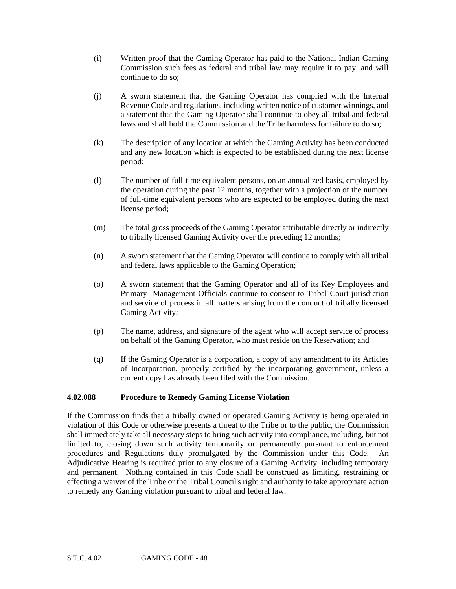- (i) Written proof that the Gaming Operator has paid to the National Indian Gaming Commission such fees as federal and tribal law may require it to pay, and will continue to do so;
- (j) A sworn statement that the Gaming Operator has complied with the Internal Revenue Code and regulations, including written notice of customer winnings, and a statement that the Gaming Operator shall continue to obey all tribal and federal laws and shall hold the Commission and the Tribe harmless for failure to do so;
- (k) The description of any location at which the Gaming Activity has been conducted and any new location which is expected to be established during the next license period;
- (l) The number of full-time equivalent persons, on an annualized basis, employed by the operation during the past 12 months, together with a projection of the number of full-time equivalent persons who are expected to be employed during the next license period;
- (m) The total gross proceeds of the Gaming Operator attributable directly or indirectly to tribally licensed Gaming Activity over the preceding 12 months;
- (n) A sworn statement that the Gaming Operator will continue to comply with all tribal and federal laws applicable to the Gaming Operation;
- (o) A sworn statement that the Gaming Operator and all of its Key Employees and Primary Management Officials continue to consent to Tribal Court jurisdiction and service of process in all matters arising from the conduct of tribally licensed Gaming Activity;
- (p) The name, address, and signature of the agent who will accept service of process on behalf of the Gaming Operator, who must reside on the Reservation; and
- (q) If the Gaming Operator is a corporation, a copy of any amendment to its Articles of Incorporation, properly certified by the incorporating government, unless a current copy has already been filed with the Commission.

## **4.02.088 Procedure to Remedy Gaming License Violation**

If the Commission finds that a tribally owned or operated Gaming Activity is being operated in violation of this Code or otherwise presents a threat to the Tribe or to the public, the Commission shall immediately take all necessary steps to bring such activity into compliance, including, but not limited to, closing down such activity temporarily or permanently pursuant to enforcement procedures and Regulations duly promulgated by the Commission under this Code. An Adjudicative Hearing is required prior to any closure of a Gaming Activity, including temporary and permanent. Nothing contained in this Code shall be construed as limiting, restraining or effecting a waiver of the Tribe or the Tribal Council's right and authority to take appropriate action to remedy any Gaming violation pursuant to tribal and federal law.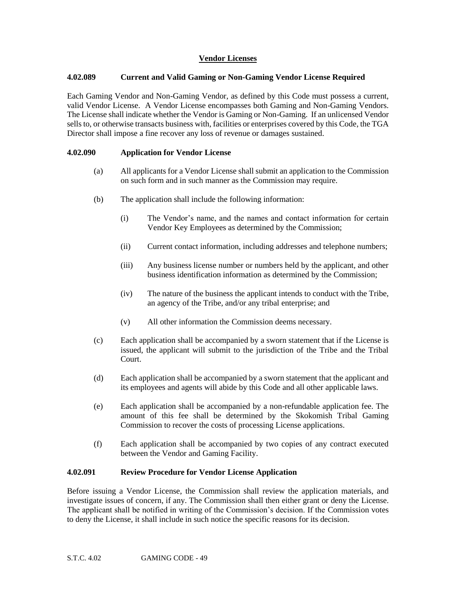## **Vendor Licenses**

#### **4.02.089 Current and Valid Gaming or Non-Gaming Vendor License Required**

Each Gaming Vendor and Non-Gaming Vendor, as defined by this Code must possess a current, valid Vendor License. A Vendor License encompasses both Gaming and Non-Gaming Vendors. The License shall indicate whether the Vendor is Gaming or Non-Gaming. If an unlicensed Vendor sells to, or otherwise transacts business with, facilities or enterprises covered by this Code, the TGA Director shall impose a fine recover any loss of revenue or damages sustained.

#### **4.02.090 Application for Vendor License**

- (a) All applicants for a Vendor License shall submit an application to the Commission on such form and in such manner as the Commission may require.
- (b) The application shall include the following information:
	- (i) The Vendor's name, and the names and contact information for certain Vendor Key Employees as determined by the Commission;
	- (ii) Current contact information, including addresses and telephone numbers;
	- (iii) Any business license number or numbers held by the applicant, and other business identification information as determined by the Commission;
	- (iv) The nature of the business the applicant intends to conduct with the Tribe, an agency of the Tribe, and/or any tribal enterprise; and
	- (v) All other information the Commission deems necessary.
- (c) Each application shall be accompanied by a sworn statement that if the License is issued, the applicant will submit to the jurisdiction of the Tribe and the Tribal Court.
- (d) Each application shall be accompanied by a sworn statement that the applicant and its employees and agents will abide by this Code and all other applicable laws.
- (e) Each application shall be accompanied by a non-refundable application fee. The amount of this fee shall be determined by the Skokomish Tribal Gaming Commission to recover the costs of processing License applications.
- (f) Each application shall be accompanied by two copies of any contract executed between the Vendor and Gaming Facility.

#### **4.02.091 Review Procedure for Vendor License Application**

Before issuing a Vendor License, the Commission shall review the application materials, and investigate issues of concern, if any. The Commission shall then either grant or deny the License. The applicant shall be notified in writing of the Commission's decision. If the Commission votes to deny the License, it shall include in such notice the specific reasons for its decision.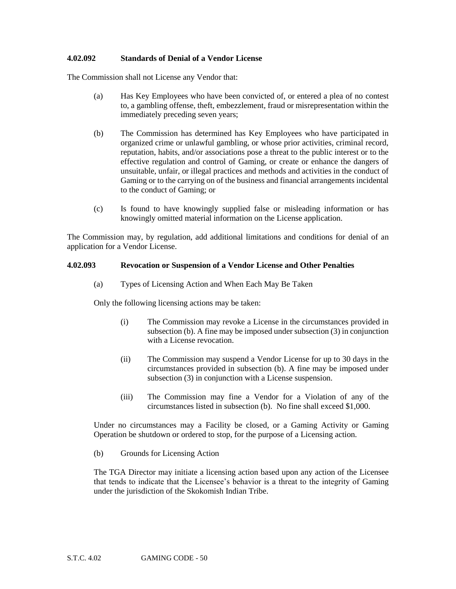#### **4.02.092 Standards of Denial of a Vendor License**

The Commission shall not License any Vendor that:

- (a) Has Key Employees who have been convicted of, or entered a plea of no contest to, a gambling offense, theft, embezzlement, fraud or misrepresentation within the immediately preceding seven years;
- (b) The Commission has determined has Key Employees who have participated in organized crime or unlawful gambling, or whose prior activities, criminal record, reputation, habits, and/or associations pose a threat to the public interest or to the effective regulation and control of Gaming, or create or enhance the dangers of unsuitable, unfair, or illegal practices and methods and activities in the conduct of Gaming or to the carrying on of the business and financial arrangements incidental to the conduct of Gaming; or
- (c) Is found to have knowingly supplied false or misleading information or has knowingly omitted material information on the License application.

The Commission may, by regulation, add additional limitations and conditions for denial of an application for a Vendor License.

#### **4.02.093 Revocation or Suspension of a Vendor License and Other Penalties**

(a) Types of Licensing Action and When Each May Be Taken

Only the following licensing actions may be taken:

- (i) The Commission may revoke a License in the circumstances provided in subsection (b). A fine may be imposed under subsection (3) in conjunction with a License revocation.
- (ii) The Commission may suspend a Vendor License for up to 30 days in the circumstances provided in subsection (b). A fine may be imposed under subsection (3) in conjunction with a License suspension.
- (iii) The Commission may fine a Vendor for a Violation of any of the circumstances listed in subsection (b). No fine shall exceed \$1,000.

Under no circumstances may a Facility be closed, or a Gaming Activity or Gaming Operation be shutdown or ordered to stop, for the purpose of a Licensing action.

(b) Grounds for Licensing Action

The TGA Director may initiate a licensing action based upon any action of the Licensee that tends to indicate that the Licensee's behavior is a threat to the integrity of Gaming under the jurisdiction of the Skokomish Indian Tribe.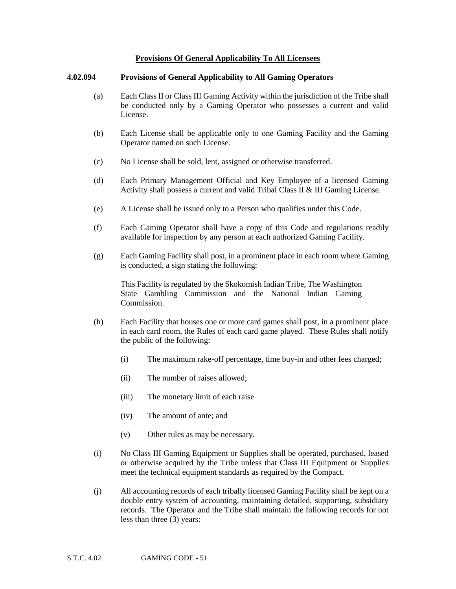#### **Provisions Of General Applicability To All Licensees**

#### **4.02.094 Provisions of General Applicability to All Gaming Operators**

- (a) Each Class II or Class III Gaming Activity within the jurisdiction of the Tribe shall be conducted only by a Gaming Operator who possesses a current and valid License.
- (b) Each License shall be applicable only to one Gaming Facility and the Gaming Operator named on such License.
- (c) No License shall be sold, lent, assigned or otherwise transferred.
- (d) Each Primary Management Official and Key Employee of a licensed Gaming Activity shall possess a current and valid Tribal Class II & III Gaming License.
- (e) A License shall be issued only to a Person who qualifies under this Code.
- (f) Each Gaming Operator shall have a copy of this Code and regulations readily available for inspection by any person at each authorized Gaming Facility.
- (g) Each Gaming Facility shall post, in a prominent place in each room where Gaming is conducted, a sign stating the following:

This Facility is regulated by the Skokomish Indian Tribe, The Washington State Gambling Commission and the National Indian Gaming Commission.

- (h) Each Facility that houses one or more card games shall post, in a prominent place in each card room, the Rules of each card game played. These Rules shall notify the public of the following:
	- (i) The maximum rake-off percentage, time buy-in and other fees charged;
	- (ii) The number of raises allowed;
	- (iii) The monetary limit of each raise
	- (iv) The amount of ante; and
	- (v) Other rules as may be necessary.
- (i) No Class III Gaming Equipment or Supplies shall be operated, purchased, leased or otherwise acquired by the Tribe unless that Class III Equipment or Supplies meet the technical equipment standards as required by the Compact.
- (j) All accounting records of each tribally licensed Gaming Facility shall be kept on a double entry system of accounting, maintaining detailed, supporting, subsidiary records. The Operator and the Tribe shall maintain the following records for not less than three (3) years: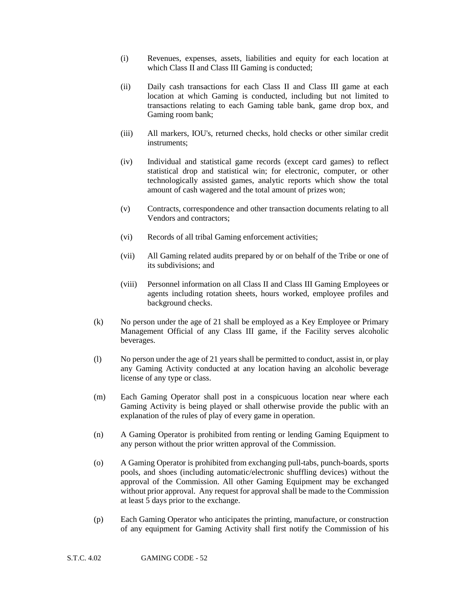- (i) Revenues, expenses, assets, liabilities and equity for each location at which Class II and Class III Gaming is conducted:
- (ii) Daily cash transactions for each Class II and Class III game at each location at which Gaming is conducted, including but not limited to transactions relating to each Gaming table bank, game drop box, and Gaming room bank;
- (iii) All markers, IOU's, returned checks, hold checks or other similar credit instruments;
- (iv) Individual and statistical game records (except card games) to reflect statistical drop and statistical win; for electronic, computer, or other technologically assisted games, analytic reports which show the total amount of cash wagered and the total amount of prizes won;
- (v) Contracts, correspondence and other transaction documents relating to all Vendors and contractors;
- (vi) Records of all tribal Gaming enforcement activities;
- (vii) All Gaming related audits prepared by or on behalf of the Tribe or one of its subdivisions; and
- (viii) Personnel information on all Class II and Class III Gaming Employees or agents including rotation sheets, hours worked, employee profiles and background checks.
- (k) No person under the age of 21 shall be employed as a Key Employee or Primary Management Official of any Class III game, if the Facility serves alcoholic beverages.
- (l) No person under the age of 21 years shall be permitted to conduct, assist in, or play any Gaming Activity conducted at any location having an alcoholic beverage license of any type or class.
- (m) Each Gaming Operator shall post in a conspicuous location near where each Gaming Activity is being played or shall otherwise provide the public with an explanation of the rules of play of every game in operation.
- (n) A Gaming Operator is prohibited from renting or lending Gaming Equipment to any person without the prior written approval of the Commission.
- (o) A Gaming Operator is prohibited from exchanging pull-tabs, punch-boards, sports pools, and shoes (including automatic/electronic shuffling devices) without the approval of the Commission. All other Gaming Equipment may be exchanged without prior approval. Any request for approval shall be made to the Commission at least 5 days prior to the exchange.
- (p) Each Gaming Operator who anticipates the printing, manufacture, or construction of any equipment for Gaming Activity shall first notify the Commission of his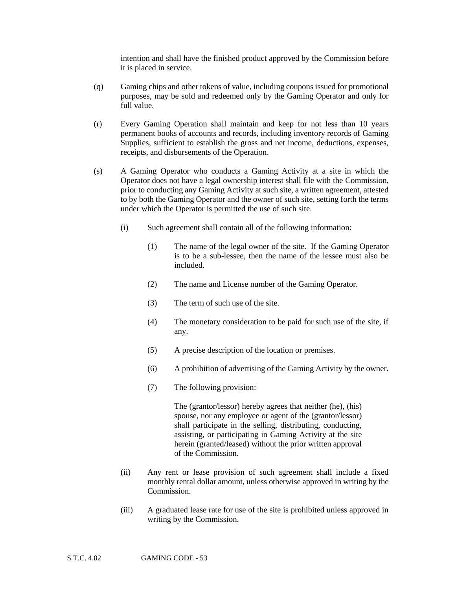intention and shall have the finished product approved by the Commission before it is placed in service.

- (q) Gaming chips and other tokens of value, including coupons issued for promotional purposes, may be sold and redeemed only by the Gaming Operator and only for full value.
- (r) Every Gaming Operation shall maintain and keep for not less than 10 years permanent books of accounts and records, including inventory records of Gaming Supplies, sufficient to establish the gross and net income, deductions, expenses, receipts, and disbursements of the Operation.
- (s) A Gaming Operator who conducts a Gaming Activity at a site in which the Operator does not have a legal ownership interest shall file with the Commission, prior to conducting any Gaming Activity at such site, a written agreement, attested to by both the Gaming Operator and the owner of such site, setting forth the terms under which the Operator is permitted the use of such site.
	- (i) Such agreement shall contain all of the following information:
		- (1) The name of the legal owner of the site. If the Gaming Operator is to be a sub-lessee, then the name of the lessee must also be included.
		- (2) The name and License number of the Gaming Operator.
		- (3) The term of such use of the site.
		- (4) The monetary consideration to be paid for such use of the site, if any.
		- (5) A precise description of the location or premises.
		- (6) A prohibition of advertising of the Gaming Activity by the owner.
		- (7) The following provision:

The (grantor/lessor) hereby agrees that neither (he), (his) spouse, nor any employee or agent of the (grantor/lessor) shall participate in the selling, distributing, conducting, assisting, or participating in Gaming Activity at the site herein (granted/leased) without the prior written approval of the Commission.

- (ii) Any rent or lease provision of such agreement shall include a fixed monthly rental dollar amount, unless otherwise approved in writing by the Commission.
- (iii) A graduated lease rate for use of the site is prohibited unless approved in writing by the Commission.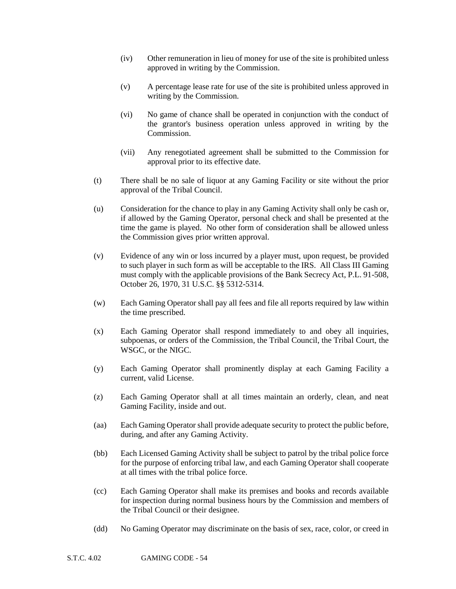- (iv) Other remuneration in lieu of money for use of the site is prohibited unless approved in writing by the Commission.
- (v) A percentage lease rate for use of the site is prohibited unless approved in writing by the Commission.
- (vi) No game of chance shall be operated in conjunction with the conduct of the grantor's business operation unless approved in writing by the Commission.
- (vii) Any renegotiated agreement shall be submitted to the Commission for approval prior to its effective date.
- (t) There shall be no sale of liquor at any Gaming Facility or site without the prior approval of the Tribal Council.
- (u) Consideration for the chance to play in any Gaming Activity shall only be cash or, if allowed by the Gaming Operator, personal check and shall be presented at the time the game is played. No other form of consideration shall be allowed unless the Commission gives prior written approval.
- (v) Evidence of any win or loss incurred by a player must, upon request, be provided to such player in such form as will be acceptable to the IRS. All Class III Gaming must comply with the applicable provisions of the Bank Secrecy Act, P.L. 91-508, October 26, 1970, 31 U.S.C. §§ 5312-5314.
- (w) Each Gaming Operator shall pay all fees and file all reports required by law within the time prescribed.
- (x) Each Gaming Operator shall respond immediately to and obey all inquiries, subpoenas, or orders of the Commission, the Tribal Council, the Tribal Court, the WSGC, or the NIGC.
- (y) Each Gaming Operator shall prominently display at each Gaming Facility a current, valid License.
- (z) Each Gaming Operator shall at all times maintain an orderly, clean, and neat Gaming Facility, inside and out.
- (aa) Each Gaming Operator shall provide adequate security to protect the public before, during, and after any Gaming Activity.
- (bb) Each Licensed Gaming Activity shall be subject to patrol by the tribal police force for the purpose of enforcing tribal law, and each Gaming Operator shall cooperate at all times with the tribal police force.
- (cc) Each Gaming Operator shall make its premises and books and records available for inspection during normal business hours by the Commission and members of the Tribal Council or their designee.
- (dd) No Gaming Operator may discriminate on the basis of sex, race, color, or creed in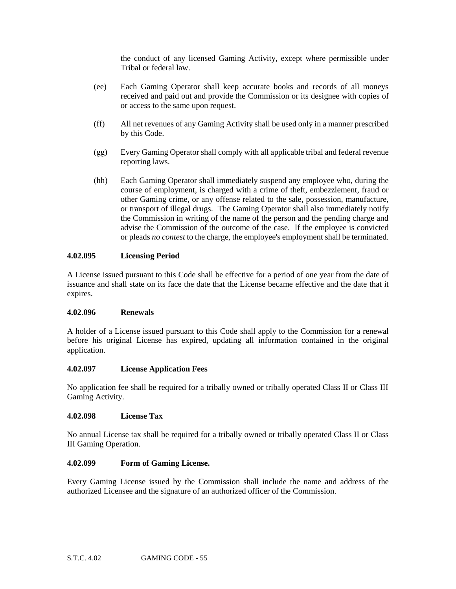the conduct of any licensed Gaming Activity, except where permissible under Tribal or federal law.

- (ee) Each Gaming Operator shall keep accurate books and records of all moneys received and paid out and provide the Commission or its designee with copies of or access to the same upon request.
- (ff) All net revenues of any Gaming Activity shall be used only in a manner prescribed by this Code.
- (gg) Every Gaming Operator shall comply with all applicable tribal and federal revenue reporting laws.
- (hh) Each Gaming Operator shall immediately suspend any employee who, during the course of employment, is charged with a crime of theft, embezzlement, fraud or other Gaming crime, or any offense related to the sale, possession, manufacture, or transport of illegal drugs. The Gaming Operator shall also immediately notify the Commission in writing of the name of the person and the pending charge and advise the Commission of the outcome of the case. If the employee is convicted or pleads *no contest* to the charge, the employee's employment shall be terminated.

## **4.02.095 Licensing Period**

A License issued pursuant to this Code shall be effective for a period of one year from the date of issuance and shall state on its face the date that the License became effective and the date that it expires.

## **4.02.096 Renewals**

A holder of a License issued pursuant to this Code shall apply to the Commission for a renewal before his original License has expired, updating all information contained in the original application.

## **4.02.097 License Application Fees**

No application fee shall be required for a tribally owned or tribally operated Class II or Class III Gaming Activity.

#### **4.02.098 License Tax**

No annual License tax shall be required for a tribally owned or tribally operated Class II or Class III Gaming Operation.

## **4.02.099 Form of Gaming License.**

Every Gaming License issued by the Commission shall include the name and address of the authorized Licensee and the signature of an authorized officer of the Commission.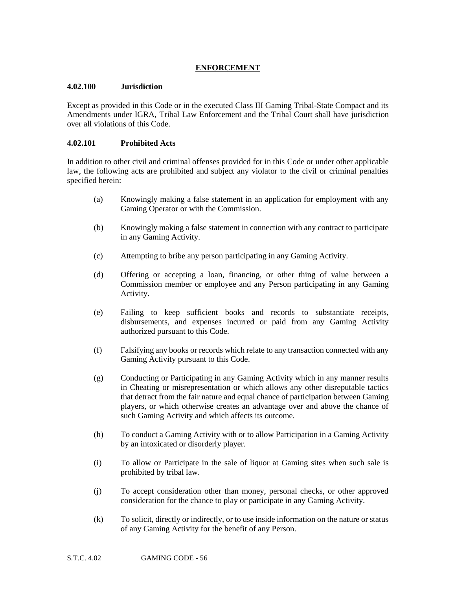# **ENFORCEMENT**

## **4.02.100 Jurisdiction**

Except as provided in this Code or in the executed Class III Gaming Tribal-State Compact and its Amendments under IGRA, Tribal Law Enforcement and the Tribal Court shall have jurisdiction over all violations of this Code.

# **4.02.101 Prohibited Acts**

In addition to other civil and criminal offenses provided for in this Code or under other applicable law, the following acts are prohibited and subject any violator to the civil or criminal penalties specified herein:

- (a) Knowingly making a false statement in an application for employment with any Gaming Operator or with the Commission.
- (b) Knowingly making a false statement in connection with any contract to participate in any Gaming Activity.
- (c) Attempting to bribe any person participating in any Gaming Activity.
- (d) Offering or accepting a loan, financing, or other thing of value between a Commission member or employee and any Person participating in any Gaming Activity.
- (e) Failing to keep sufficient books and records to substantiate receipts, disbursements, and expenses incurred or paid from any Gaming Activity authorized pursuant to this Code.
- (f) Falsifying any books or records which relate to any transaction connected with any Gaming Activity pursuant to this Code.
- (g) Conducting or Participating in any Gaming Activity which in any manner results in Cheating or misrepresentation or which allows any other disreputable tactics that detract from the fair nature and equal chance of participation between Gaming players, or which otherwise creates an advantage over and above the chance of such Gaming Activity and which affects its outcome.
- (h) To conduct a Gaming Activity with or to allow Participation in a Gaming Activity by an intoxicated or disorderly player.
- (i) To allow or Participate in the sale of liquor at Gaming sites when such sale is prohibited by tribal law.
- (j) To accept consideration other than money, personal checks, or other approved consideration for the chance to play or participate in any Gaming Activity.
- (k) To solicit, directly or indirectly, or to use inside information on the nature or status of any Gaming Activity for the benefit of any Person.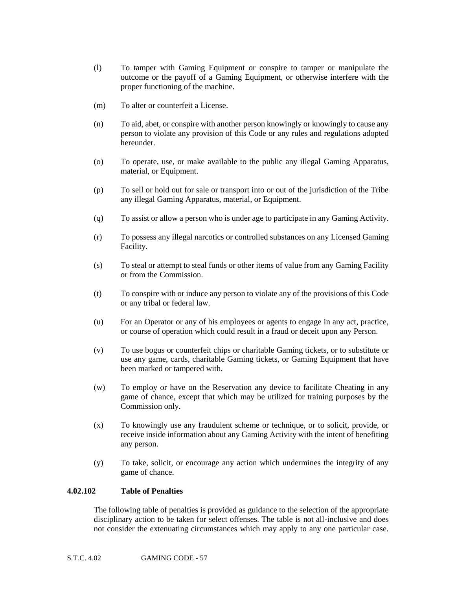- (l) To tamper with Gaming Equipment or conspire to tamper or manipulate the outcome or the payoff of a Gaming Equipment, or otherwise interfere with the proper functioning of the machine.
- (m) To alter or counterfeit a License.
- (n) To aid, abet, or conspire with another person knowingly or knowingly to cause any person to violate any provision of this Code or any rules and regulations adopted hereunder.
- (o) To operate, use, or make available to the public any illegal Gaming Apparatus, material, or Equipment.
- (p) To sell or hold out for sale or transport into or out of the jurisdiction of the Tribe any illegal Gaming Apparatus, material, or Equipment.
- (q) To assist or allow a person who is under age to participate in any Gaming Activity.
- (r) To possess any illegal narcotics or controlled substances on any Licensed Gaming Facility.
- (s) To steal or attempt to steal funds or other items of value from any Gaming Facility or from the Commission.
- (t) To conspire with or induce any person to violate any of the provisions of this Code or any tribal or federal law.
- (u) For an Operator or any of his employees or agents to engage in any act, practice, or course of operation which could result in a fraud or deceit upon any Person.
- (v) To use bogus or counterfeit chips or charitable Gaming tickets, or to substitute or use any game, cards, charitable Gaming tickets, or Gaming Equipment that have been marked or tampered with.
- (w) To employ or have on the Reservation any device to facilitate Cheating in any game of chance, except that which may be utilized for training purposes by the Commission only.
- (x) To knowingly use any fraudulent scheme or technique, or to solicit, provide, or receive inside information about any Gaming Activity with the intent of benefiting any person.
- (y) To take, solicit, or encourage any action which undermines the integrity of any game of chance.

#### **4.02.102 Table of Penalties**

The following table of penalties is provided as guidance to the selection of the appropriate disciplinary action to be taken for select offenses. The table is not all-inclusive and does not consider the extenuating circumstances which may apply to any one particular case.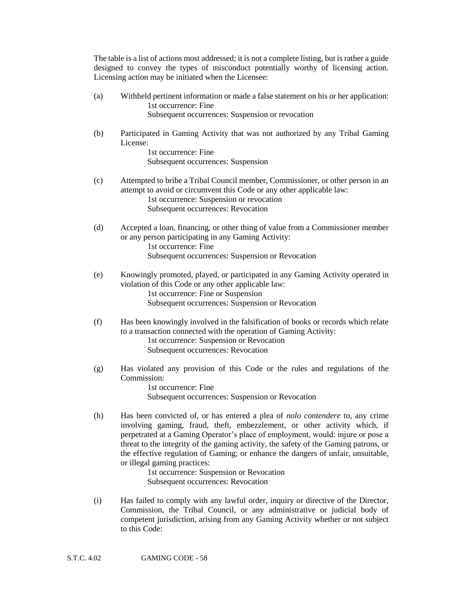The table is a list of actions most addressed; it is not a complete listing, but is rather a guide designed to convey the types of misconduct potentially worthy of licensing action. Licensing action may be initiated when the Licensee:

- (a) Withheld pertinent information or made a false statement on his or her application: 1st occurrence: Fine Subsequent occurrences: Suspension or revocation
- (b) Participated in Gaming Activity that was not authorized by any Tribal Gaming License: 1st occurrence: Fine

Subsequent occurrences: Suspension

- (c) Attempted to bribe a Tribal Council member, Commissioner, or other person in an attempt to avoid or circumvent this Code or any other applicable law: 1st occurrence: Suspension or revocation Subsequent occurrences: Revocation
- (d) Accepted a loan, financing, or other thing of value from a Commissioner member or any person participating in any Gaming Activity: 1st occurrence: Fine Subsequent occurrences: Suspension or Revocation
- (e) Knowingly promoted, played, or participated in any Gaming Activity operated in violation of this Code or any other applicable law: 1st occurrence: Fine or Suspension Subsequent occurrences: Suspension or Revocation
- (f) Has been knowingly involved in the falsification of books or records which relate to a transaction connected with the operation of Gaming Activity: 1st occurrence: Suspension or Revocation Subsequent occurrences: Revocation
- (g) Has violated any provision of this Code or the rules and regulations of the Commission:

1st occurrence: Fine Subsequent occurrences: Suspension or Revocation

(h) Has been convicted of, or has entered a plea of *nolo contendere* to, any crime involving gaming, fraud, theft, embezzlement, or other activity which, if perpetrated at a Gaming Operator's place of employment, would: injure or pose a threat to the integrity of the gaming activity, the safety of the Gaming patrons, or the effective regulation of Gaming; or enhance the dangers of unfair, unsuitable, or illegal gaming practices:

1st occurrence: Suspension or Revocation Subsequent occurrences: Revocation

(i) Has failed to comply with any lawful order, inquiry or directive of the Director, Commission, the Tribal Council, or any administrative or judicial body of competent jurisdiction, arising from any Gaming Activity whether or not subject to this Code: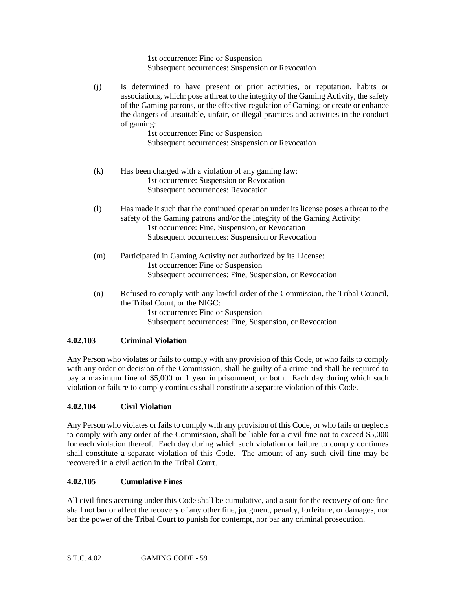1st occurrence: Fine or Suspension Subsequent occurrences: Suspension or Revocation

(j) Is determined to have present or prior activities, or reputation, habits or associations, which: pose a threat to the integrity of the Gaming Activity, the safety of the Gaming patrons, or the effective regulation of Gaming; or create or enhance the dangers of unsuitable, unfair, or illegal practices and activities in the conduct of gaming:

1st occurrence: Fine or Suspension Subsequent occurrences: Suspension or Revocation

- (k) Has been charged with a violation of any gaming law: 1st occurrence: Suspension or Revocation Subsequent occurrences: Revocation
- (l) Has made it such that the continued operation under its license poses a threat to the safety of the Gaming patrons and/or the integrity of the Gaming Activity: 1st occurrence: Fine, Suspension, or Revocation Subsequent occurrences: Suspension or Revocation
- (m) Participated in Gaming Activity not authorized by its License: 1st occurrence: Fine or Suspension Subsequent occurrences: Fine, Suspension, or Revocation
- (n) Refused to comply with any lawful order of the Commission, the Tribal Council, the Tribal Court, or the NIGC: 1st occurrence: Fine or Suspension Subsequent occurrences: Fine, Suspension, or Revocation

# **4.02.103 Criminal Violation**

Any Person who violates or fails to comply with any provision of this Code, or who fails to comply with any order or decision of the Commission, shall be guilty of a crime and shall be required to pay a maximum fine of \$5,000 or 1 year imprisonment, or both. Each day during which such violation or failure to comply continues shall constitute a separate violation of this Code.

# **4.02.104 Civil Violation**

Any Person who violates or fails to comply with any provision of this Code, or who fails or neglects to comply with any order of the Commission, shall be liable for a civil fine not to exceed \$5,000 for each violation thereof. Each day during which such violation or failure to comply continues shall constitute a separate violation of this Code. The amount of any such civil fine may be recovered in a civil action in the Tribal Court.

## **4.02.105 Cumulative Fines**

All civil fines accruing under this Code shall be cumulative, and a suit for the recovery of one fine shall not bar or affect the recovery of any other fine, judgment, penalty, forfeiture, or damages, nor bar the power of the Tribal Court to punish for contempt, nor bar any criminal prosecution.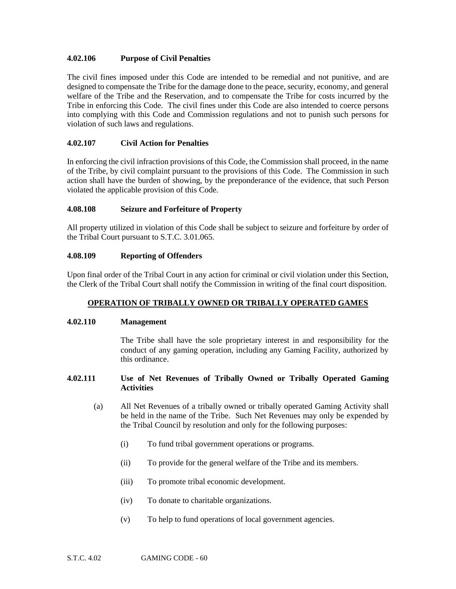## **4.02.106 Purpose of Civil Penalties**

The civil fines imposed under this Code are intended to be remedial and not punitive, and are designed to compensate the Tribe for the damage done to the peace, security, economy, and general welfare of the Tribe and the Reservation, and to compensate the Tribe for costs incurred by the Tribe in enforcing this Code. The civil fines under this Code are also intended to coerce persons into complying with this Code and Commission regulations and not to punish such persons for violation of such laws and regulations.

# **4.02.107 Civil Action for Penalties**

In enforcing the civil infraction provisions of this Code, the Commission shall proceed, in the name of the Tribe, by civil complaint pursuant to the provisions of this Code. The Commission in such action shall have the burden of showing, by the preponderance of the evidence, that such Person violated the applicable provision of this Code.

## **4.08.108 Seizure and Forfeiture of Property**

All property utilized in violation of this Code shall be subject to seizure and forfeiture by order of the Tribal Court pursuant to S.T.C. 3.01.065.

# **4.08.109 Reporting of Offenders**

Upon final order of the Tribal Court in any action for criminal or civil violation under this Section, the Clerk of the Tribal Court shall notify the Commission in writing of the final court disposition.

# **OPERATION OF TRIBALLY OWNED OR TRIBALLY OPERATED GAMES**

## **4.02.110 Management**

The Tribe shall have the sole proprietary interest in and responsibility for the conduct of any gaming operation, including any Gaming Facility, authorized by this ordinance.

## **4.02.111 Use of Net Revenues of Tribally Owned or Tribally Operated Gaming Activities**

- (a) All Net Revenues of a tribally owned or tribally operated Gaming Activity shall be held in the name of the Tribe. Such Net Revenues may only be expended by the Tribal Council by resolution and only for the following purposes:
	- (i) To fund tribal government operations or programs.
	- (ii) To provide for the general welfare of the Tribe and its members.
	- (iii) To promote tribal economic development.
	- (iv) To donate to charitable organizations.
	- (v) To help to fund operations of local government agencies.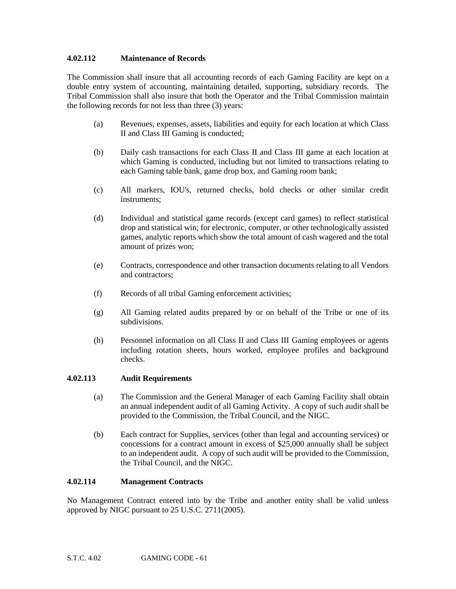#### **4.02.112 Maintenance of Records**

The Commission shall insure that all accounting records of each Gaming Facility are kept on a double entry system of accounting, maintaining detailed, supporting, subsidiary records. The Tribal Commission shall also insure that both the Operator and the Tribal Commission maintain the following records for not less than three (3) years:

- (a) Revenues, expenses, assets, liabilities and equity for each location at which Class II and Class III Gaming is conducted;
- (b) Daily cash transactions for each Class II and Class III game at each location at which Gaming is conducted, including but not limited to transactions relating to each Gaming table bank, game drop box, and Gaming room bank;
- (c) All markers, IOU's, returned checks, hold checks or other similar credit instruments;
- (d) Individual and statistical game records (except card games) to reflect statistical drop and statistical win; for electronic, computer, or other technologically assisted games, analytic reports which show the total amount of cash wagered and the total amount of prizes won;
- (e) Contracts, correspondence and other transaction documents relating to all Vendors and contractors;
- (f) Records of all tribal Gaming enforcement activities;
- (g) All Gaming related audits prepared by or on behalf of the Tribe or one of its subdivisions.
- (h) Personnel information on all Class II and Class III Gaming employees or agents including rotation sheets, hours worked, employee profiles and background checks.

## **4.02.113 Audit Requirements**

- (a) The Commission and the General Manager of each Gaming Facility shall obtain an annual independent audit of all Gaming Activity. A copy of such audit shall be provided to the Commission, the Tribal Council, and the NIGC.
- (b) Each contract for Supplies, services (other than legal and accounting services) or concessions for a contract amount in excess of \$25,000 annually shall be subject to an independent audit. A copy of such audit will be provided to the Commission, the Tribal Council, and the NIGC.

#### **4.02.114 Management Contracts**

No Management Contract entered into by the Tribe and another entity shall be valid unless approved by NIGC pursuant to 25 U.S.C. 2711(2005).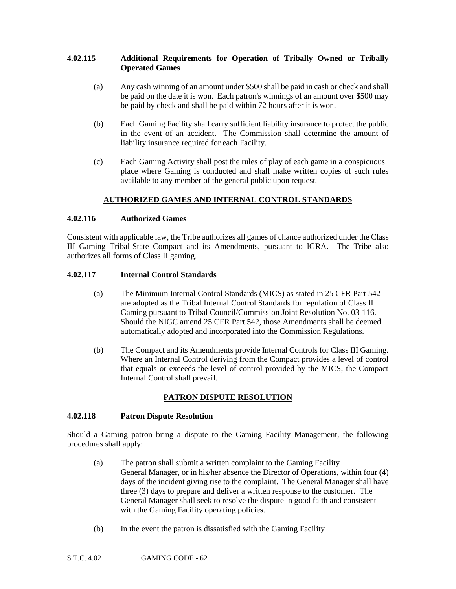## **4.02.115 Additional Requirements for Operation of Tribally Owned or Tribally Operated Games**

- (a) Any cash winning of an amount under \$500 shall be paid in cash or check and shall be paid on the date it is won. Each patron's winnings of an amount over \$500 may be paid by check and shall be paid within 72 hours after it is won.
- (b) Each Gaming Facility shall carry sufficient liability insurance to protect the public in the event of an accident. The Commission shall determine the amount of liability insurance required for each Facility.
- (c) Each Gaming Activity shall post the rules of play of each game in a conspicuous place where Gaming is conducted and shall make written copies of such rules available to any member of the general public upon request.

# **AUTHORIZED GAMES AND INTERNAL CONTROL STANDARDS**

#### **4.02.116 Authorized Games**

Consistent with applicable law, the Tribe authorizes all games of chance authorized under the Class III Gaming Tribal-State Compact and its Amendments, pursuant to IGRA. The Tribe also authorizes all forms of Class II gaming.

#### **4.02.117 Internal Control Standards**

- (a) The Minimum Internal Control Standards (MICS) as stated in 25 CFR Part 542 are adopted as the Tribal Internal Control Standards for regulation of Class II Gaming pursuant to Tribal Council/Commission Joint Resolution No. 03-116. Should the NIGC amend 25 CFR Part 542, those Amendments shall be deemed automatically adopted and incorporated into the Commission Regulations.
- (b) The Compact and its Amendments provide Internal Controls for Class III Gaming. Where an Internal Control deriving from the Compact provides a level of control that equals or exceeds the level of control provided by the MICS, the Compact Internal Control shall prevail.

## **PATRON DISPUTE RESOLUTION**

## **4.02.118 Patron Dispute Resolution**

Should a Gaming patron bring a dispute to the Gaming Facility Management, the following procedures shall apply:

- (a) The patron shall submit a written complaint to the Gaming Facility General Manager, or in his/her absence the Director of Operations, within four (4) days of the incident giving rise to the complaint. The General Manager shall have three (3) days to prepare and deliver a written response to the customer. The General Manager shall seek to resolve the dispute in good faith and consistent with the Gaming Facility operating policies.
- (b) In the event the patron is dissatisfied with the Gaming Facility